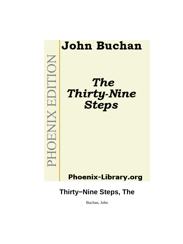

Buchan, John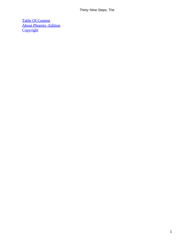[Table Of Content](#page-87-0) [About Phoenix−Edition](#page-88-0) **[Copyright](#page-89-0)**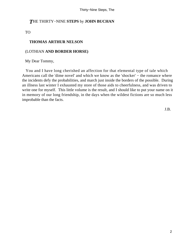## *T*HE THIRTY−NINE **STEPS** by **JOHN BUCHAN**

TO

### **THOMAS ARTHUR NELSON**

#### (LOTHIAN **AND BORDER HORSE)**

My Dear Tommy,

 You and I have long cherished an affection for that elemental type of tale which Americans call the 'dime novel' and which we know as the 'shocker' − the romance where the incidents defy the probabilities, and march just inside the borders of the possible. During an illness last winter I exhausted my store of those aids to cheerfulness, and was driven to write one for myself. This little volume is the result, and I should like to put your name on it in memory of our long friendship, in the days when the wildest fictions are so much less improbable than the facts.

J.B.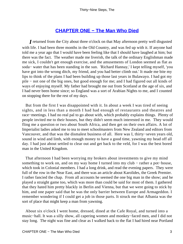## **[CHAPTER ONE − The Man Who Died](#page-87-0)**

*I* returned from the City about three o'clock on that May afternoon pretty well disgusted with life. I had been three months in the Old Country, and was fed up with it. If anyone had told me a year ago that I would have been feeling like that I should have laughed at him; but there was the fact. The weather made me liverish, the talk of the ordinary Englishman made me sick, I couldn't get enough exercise, and the amusements of London seemed as flat as soda− water that has been standing in the sun. 'Richard Hannay,' I kept telling myself, 'you have got into the wrong ditch, my friend, and you had better climb out.' It made me bite my lips to think of the plans I had been building up those last years in Bulawayo. I had got my pile − not one of the big ones, but good enough for me; and I had figured out all kinds of ways of enjoying myself. My father had brought me out from Scotland at the age of six, and I had never been home since; so England was a sort of Arabian Nights to me, and I counted on stopping there for the rest of my days.

 But from the first I was disappointed with it. In about a week I was tired of seeing sights, and in less than a month I had had enough of restaurants and theatres and race−meetings. I had no real pal to go about with, which probably explains things. Plenty of people invited me to their houses, but they didn't seem much interested in me. They would fling me a question or two about South Africa, and then get on their own affairs. A lot of Imperialist ladies asked me to tea to meet schoolmasters from New Zealand and editors from Vancouver, and that was the dismalest business of all. Here was I, thirty−seven years old, sound in wind and limb, with enough money to have a good time, yawning my head off all day. I had just about settled to clear out and get back to the veld, for I was the best bored man in the United Kingdom.

 That afternoon I had been worrying my brokers about investments to give my mind something to work on, and on my way home I turned into my club – rather a pot–house, which took in Colonial members. I had a long drink, and read the evening papers. They were full of the row in the Near East, and there was an article about Karolides, the Greek Premier. I rather fancied the chap. From all accounts he seemed the one big man in the show; and he played a straight game too, which was more than could be said for most of them. I gathered that they hated him pretty blackly in Berlin and Vienna, but that we were going to stick by him, and one paper said that he was the only barrier between Europe and Armageddon. I remember wondering if I could get a job in those parts. It struck me that Albania was the sort of place that might keep a man from yawning.

 About six o'clock I went home, dressed, dined at the Cafe Royal, and turned into a music−hall. It was a silly show, all capering women and monkey−faced men, and I did not stay long. The night was fine and clear as I walked back to the flat I had hired near Portland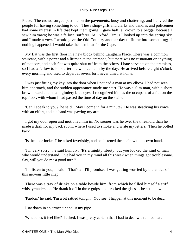Place. The crowd surged past me on the pavements, busy and chattering, and I envied the people for having something to do. These shop−girls and clerks and dandies and policemen had some interest in life that kept them going. I gave half−a−crown to a beggar because I saw him yawn; he was a fellow−sufferer. At Oxford Circus I looked up into the spring sky and I made a vow. I would give the Old Country another day to fit me into something; if nothing happened, I would take the next boat for the Cape.

 My flat was the first floor in a new block behind Langham Place. There was a common staircase, with a porter and a liftman at the entrance, but there was no restaurant or anything of that sort, and each flat was quite shut off from the others. I hate servants on the premises, so I had a fellow to look after me who came in by the day. He arrived before eight o'clock every morning and used to depart at seven, for I never dined at home.

 I was just fitting my key into the door when I noticed a man at my elbow. I had not seen him approach, and the sudden appearance made me start. He was a slim man, with a short brown beard and small, gimlety blue eyes. I recognized him as the occupant of a flat on the top floor, with whom I had passed the time of day on the stairs.

 'Can I speak to you?' he said. 'May I come in for a minute?' He was steadying his voice with an effort, and his hand was pawing my arm.

 I got my door open and motioned him in. No sooner was he over the threshold than he made a dash for my back room, where I used to smoke and write my letters. Then he bolted back.

'Is the door locked?' he asked feverishly, and he fastened the chain with his own hand.

 'I'm very sorry,' he said humbly. 'It's a mighty liberty, but you looked the kind of man who would understand. I've had you in my mind all this week when things got troublesome. Say, will you do me a good turn?'

 'I'll listen to you,' I said. 'That's all I'll promise.' I was getting worried by the antics of this nervous little chap.

 There was a tray of drinks on a table beside him, from which he filled himself a stiff whisky−and−soda. He drank it off in three gulps, and cracked the glass as he set it down.

'Pardon,' he said, 'I'm a bit rattled tonight. You see, I happen at this moment to be dead.'

I sat down in an armchair and lit my pipe.

'What does it feel like?' I asked. I was pretty certain that I had to deal with a madman.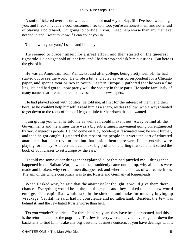A smile flickered over his drawn face. 'I'm not mad − yet. Say, Sir, I've been watching you, and I reckon you're a cool customer. I reckon, too, you're an honest man, and not afraid of playing a bold hand. I'm going to confide in you. I need help worse than any man ever needed it, and I want to know if I can count you in.'

'Get on with your yarn,' I said, 'and I'll tell you.'

 He seemed to brace himself for a great effort, and then started on the queerest rigmarole. I didn't get hold of it at first, and I had to stop and ask him questions. But here is the gist of it:

 He was an American, from Kentucky, and after college, being pretty well off, he had started out to see the world. He wrote a bit, and acted as war correspondent for a Chicago paper, and spent a year or two in South−Eastern Europe. I gathered that he was a fine linguist, and had got to know pretty well the society in those parts. He spoke familiarly of many names that I remembered to have seen in the newspapers.

 He had played about with politics, he told me, at first for the interest of them, and then because he couldn't help himself. I read him as a sharp, restless fellow, who always wanted to get down to the roots of things. He got a little further down than he wanted.

 I am giving you what he told me as well as I could make it out. Away behind all the Governments and the armies there was a big subterranean movement going on, engineered by very dangerous people. He had come on it by accident; it fascinated him; he went further, and then he got caught. I gathered that most of the people in it were the sort of educated anarchists that make revolutions, but that beside them there were financiers who were playing for money. A clever man can make big profits on a falling market, and it suited the book of both classes to set Europe by the ears.

He told me some queer things that explained a lot that had puzzled me – things that happened in the Balkan War, how one state suddenly came out on top, why alliances were made and broken, why certain men disappeared, and where the sinews of war came from. The aim of the whole conspiracy was to get Russia and Germany at loggerheads.

When I asked why, he said that the anarchist lot thought it would give them their chance. Everything would be in the melting− pot, and they looked to see a new world emerge. The capitalists would rake in the shekels, and make fortunes by buying up wreckage. Capital, he said, had no conscience and no fatherland. Besides, the Jew was behind it, and the Jew hated Russia worse than hell.

 'Do you wonder?' he cried. 'For three hundred years they have been persecuted, and this is the return match for the pogroms. The Jew is everywhere, but you have to go far down the backstairs to find him. Take any big Teutonic business concern. If you have dealings with it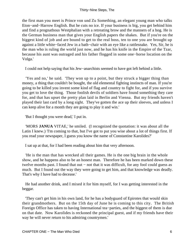the first man you meet is Prince von und Zu Something, an elegant young man who talks Eton−and−Harrow English. But he cuts no ice. If your business is big, you get behind him and find a prognathous Westphalian with a retreating brow and the manners of a hog. He is the German business man that gives your English papers the shakes. But if you're on the biggest kind of job and are bound to get to the real boss, ten to one you are brought up against a little white−faced Jew in a bath−chair with an eye like a rattlesnake. Yes, Sir, he is the man who is ruling the world just now, and he has his knife in the Empire of the Tzar, because his aunt was outraged and his father flogged in some one−horse location on the Volga.'

I could not help saying that his Jew−anarchists seemed to have got left behind a little.

 'Yes and no,' he said. 'They won up to a point, but they struck a bigger thing than money, a thing that couldn't be bought, the old elemental fighting instincts of man. If you're going to be killed you invent some kind of flag and country to fight for, and if you survive you get to love the thing. Those foolish devils of soldiers have found something they care for, and that has upset the pretty plan laid in Berlin and Vienna. But my friends haven't played their last card by a long sight. They've gotten the ace up their sleeves, and unless I can keep alive for a month they are going to play it and win.'

'But I thought you were dead,' I put in.

 'MORS **JANUA** VITAE,' he smiled. (I recognized the quotation: it was about all the Latin I knew.) 'I'm coming to that, but I've got to put you wise about a lot of things first. If you read your newspaper, I guess you know the name of Constantine Karolides?'

I sat up at that, for I had been reading about him that very afternoon.

 'He is the man that has wrecked all their games. He is the one big brain in the whole show, and he happens also to be an honest man. Therefore he has been marked down these twelve months past. I found that out − not that it was difficult, for any fool could guess as much. But I found out the way they were going to get him, and that knowledge was deadly. That's why I have had to decease.'

 He had another drink, and I mixed it for him myself, for I was getting interested in the beggar.

 'They can't get him in his own land, for he has a bodyguard of Epirotes that would skin their grandmothers. But on the 15th day of June he is coming to this city. The British Foreign Office has taken to having International tea−parties, and the biggest of them is due on that date. Now Karolides is reckoned the principal guest, and if my friends have their way he will never return to his admiring countrymen.'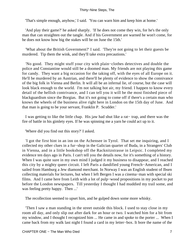'That's simple enough, anyhow,' I said. 'You can warn him and keep him at home.'

 'And play their game?' he asked sharply. 'If he does not come they win, for he's the only man that can straighten out the tangle. And if his Government are warned he won't come, for he does not know how big the stakes will be on June the 15th.'

 'What about the British Government?' I said. 'They're not going to let their guests be murdered. Tip them the wink, and they'll take extra precautions.'

 'No good. They might stuff your city with plain−clothes detectives and double the police and Constantine would still be a doomed man. My friends are not playing this game for candy. They want a big occasion for the taking off, with the eyes of all Europe on it. He'll be murdered by an Austrian, and there'll be plenty of evidence to show the connivance of the big folk in Vienna and Berlin. It will all be an infernal lie, of course, but the case will look black enough to the world. I'm not talking hot air, my friend. I happen to know every detail of the hellish contrivance, and I can tell you it will be the most finished piece of blackguardism since the Borgias. But it's not going to come off if there's a certain man who knows the wheels of the business alive right here in London on the 15th day of June. And that man is going to be your servant, Franklin P. Scudder.'

 I was getting to like the little chap. His jaw had shut like a rat− trap, and there was the fire of battle in his gimlety eyes. If he was spinning me a yarn he could act up to it.

'Where did you find out this story?' I asked.

 'I got the first hint in an inn on the Achensee in Tyrol. That set me inquiring, and I collected my other clues in a fur−shop in the Galician quarter of Buda, in a Strangers' Club in Vienna, and in a little bookshop off the Racknitzstrasse in Leipsic. I completed my evidence ten days ago in Paris. I can't tell you the details now, for it's something of a history. When I was quite sure in my own mind I judged it my business to disappear, and I reached this city by a mighty queer circuit. I left Paris a dandified young French−American, and I sailed from Hamburg a Jew diamond merchant. In Norway I was an English student of Ibsen collecting materials for lectures, but when I left Bergen I was a cinema−man with special ski films. And I came here from Leith with a lot of pulp−wood propositions in my pocket to put before the London newspapers. Till yesterday I thought I had muddied my trail some, and was feeling pretty happy. Then ...'

The recollection seemed to upset him, and he gulped down some more whisky.

 'Then I saw a man standing in the street outside this block. I used to stay close in my room all day, and only slip out after dark for an hour or two. I watched him for a bit from my window, and I thought I recognized him ... He came in and spoke to the porter ... When I came back from my walk last night I found a card in my letter−box. It bore the name of the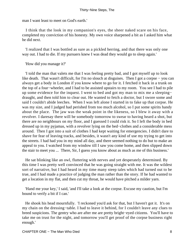man I want least to meet on God's earth.'

 I think that the look in my companion's eyes, the sheer naked scare on his face, completed my conviction of his honesty. My own voice sharpened a bit as I asked him what he did next.

 'I realized that I was bottled as sure as a pickled herring, and that there was only one way out. I had to die. If my pursuers knew I was dead they would go to sleep again.'

'How did you manage it?'

 'I told the man that valets me that I was feeling pretty bad, and I got myself up to look like death. That wasn't difficult, for I'm no slouch at disguises. Then I got a corpse − you can always get a body in London if you know where to go for it. I fetched it back in a trunk on the top of a four−wheeler, and I had to be assisted upstairs to my room. You see I had to pile up some evidence for the inquest. I went to bed and got my man to mix me a sleeping− draught, and then told him to clear out. He wanted to fetch a doctor, but I swore some and said I couldn't abide leeches. When I was left alone I started in to fake up that corpse. He was my size, and I judged had perished from too much alcohol, so I put some spirits handy about the place. The jaw was the weak point in the likeness, so I blew it away with a revolver. I daresay there will be somebody tomorrow to swear to having heard a shot, but there are no neighbours on my floor, and I guessed I could risk it. So I left the body in bed dressed up in my pyjamas, with a revolver lying on the bed−clothes and a considerable mess around. Then I got into a suit of clothes I had kept waiting for emergencies. I didn't dare to shave for fear of leaving tracks, and besides, it wasn't any kind of use my trying to get into the streets. I had had you in my mind all day, and there seemed nothing to do but to make an appeal to you. I watched from my window till I saw you come home, and then slipped down the stair to meet you ... There, Sir, I guess you know about as much as me of this business.'

 He sat blinking like an owl, fluttering with nerves and yet desperately determined. By this time I was pretty well convinced that he was going straight with me. It was the wildest sort of narrative, but I had heard in my time many steep tales which had turned out to be true, and I had made a practice of judging the man rather than the story. If he had wanted to get a location in my flat, and then cut my throat, he would have pitched a milder yarn.

 'Hand me your key,' I said, 'and I'll take a look at the corpse. Excuse my caution, but I'm bound to verify a bit if I can.'

 He shook his head mournfully. 'I reckoned you'd ask for that, but I haven't got it. It's on my chain on the dressing−table. I had to leave it behind, for I couldn't leave any clues to breed suspicions. The gentry who are after me are pretty bright−eyed citizens. You'll have to take me on trust for the night, and tomorrow you'll get proof of the corpse business right enough.'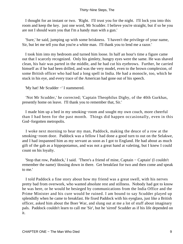I thought for an instant or two. 'Right. I'll trust you for the night. I'll lock you into this room and keep the key. just one word, Mr Scudder. I believe you're straight, but if so be you are not I should warn you that I'm a handy man with a gun.'

 'Sure,' he said, jumping up with some briskness. 'I haven't the privilege of your name, Sir, but let me tell you that you're a white man. I'll thank you to lend me a razor.'

 I took him into my bedroom and turned him loose. In half an hour's time a figure came out that I scarcely recognized. Only his gimlety, hungry eyes were the same. He was shaved clean, his hair was parted in the middle, and he had cut his eyebrows. Further, he carried himself as if he had been drilled, and was the very model, even to the brown complexion, of some British officer who had had a long spell in India. He had a monocle, too, which he stuck in his eye, and every trace of the American had gone out of his speech.

'My hat! Mr Scudder −' I stammered.

 'Not Mr Scudder,' he corrected; 'Captain Theophilus Digby, of the 40th Gurkhas, presently home on leave. I'll thank you to remember that, Sir.'

 I made him up a bed in my smoking−room and sought my own couch, more cheerful than I had been for the past month. Things did happen occasionally, even in this God−forgotten metropolis.

 I woke next morning to hear my man, Paddock, making the deuce of a row at the smoking−room door. Paddock was a fellow I had done a good turn to out on the Selakwe, and I had inspanned him as my servant as soon as I got to England. He had about as much gift of the gab as a hippopotamus, and was not a great hand at valeting, but I knew I could count on his loyalty.

 'Stop that row, Paddock,' I said. 'There's a friend of mine, Captain − Captain' (I couldn't remember the name) 'dossing down in there. Get breakfast for two and then come and speak to me.'

 I told Paddock a fine story about how my friend was a great swell, with his nerves pretty bad from overwork, who wanted absolute rest and stillness. Nobody had got to know he was here, or he would be besieged by communications from the India Office and the Prime Minister and his cure would be ruined. I am bound to say Scudder played up splendidly when he came to breakfast. He fixed Paddock with his eyeglass, just like a British officer, asked him about the Boer War, and slung out at me a lot of stuff about imaginary pals. Paddock couldn't learn to call me 'Sir', but he 'sirred' Scudder as if his life depended on it.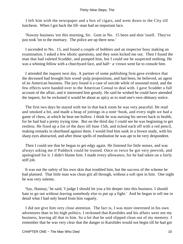I left him with the newspaper and a box of cigars, and went down to the City till luncheon. When I got back the lift−man had an important face.

 'Nawsty business 'ere this morning, Sir. Gent in No. 15 been and shot 'isself. They've just took 'im to the mortiary. The police are up there now.'

 I ascended to No. 15, and found a couple of bobbies and an inspector busy making an examination. I asked a few idiotic questions, and they soon kicked me out. Then I found the man that had valeted Scudder, and pumped him, but I could see he suspected nothing. He was a whining fellow with a churchyard face, and half− a–crown went far to console him.

 I attended the inquest next day. A partner of some publishing firm gave evidence that the deceased had brought him wood−pulp propositions, and had been, he believed, an agent of an American business. The jury found it a case of suicide while of unsound mind, and the few effects were handed over to the American Consul to deal with. I gave Scudder a full account of the affair, and it interested him greatly. He said he wished he could have attended the inquest, for he reckoned it would be about as spicy as to read one's own obituary notice.

 The first two days he stayed with me in that back room he was very peaceful. He read and smoked a bit, and made a heap of jottings in a note−book, and every night we had a game of chess, at which he beat me hollow. I think he was nursing his nerves back to health, for he had had a pretty trying time. But on the third day I could see he was beginning to get restless. He fixed up a list of the days till June 15th, and ticked each off with a red pencil, making remarks in shorthand against them. I would find him sunk in a brown study, with his sharp eyes abstracted, and after those spells of meditation he was apt to be very despondent.

 Then I could see that he began to get edgy again. He listened for little noises, and was always asking me if Paddock could be trusted. Once or twice he got very peevish, and apologized for it. I didn't blame him. I made every allowance, for he had taken on a fairly stiff job.

 It was not the safety of his own skin that troubled him, but the success of the scheme he had planned. That little man was clean grit all through, without a soft spot in him. One night he was very solemn.

 'Say, Hannay,' he said, 'I judge I should let you a bit deeper into this business. I should hate to go out without leaving somebody else to put up a fight.' And he began to tell me in detail what I had only heard from him vaguely.

 I did not give him very close attention. The fact is, I was more interested in his own adventures than in his high politics. I reckoned that Karolides and his affairs were not my business, leaving all that to him. So a lot that he said slipped clean out of my memory. I remember that he was very clear that the danger to Karolides would not begin till he had got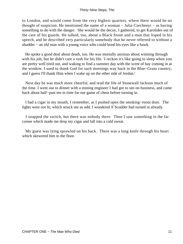to London, and would come from the very highest quarters, where there would be no thought of suspicion. He mentioned the name of a woman − Julia Czechenyi − as having something to do with the danger. She would be the decoy, I gathered, to get Karolides out of the care of his guards. He talked, too, about a Black Stone and a man that lisped in his speech, and he described very particularly somebody that he never referred to without a shudder − an old man with a young voice who could hood his eyes like a hawk.

 He spoke a good deal about death, too. He was mortally anxious about winning through with his job, but he didn't care a rush for his life. 'I reckon it's like going to sleep when you are pretty well tired out, and waking to find a summer day with the scent of hay coming in at the window. I used to thank God for such mornings way back in the Blue−Grass country, and I guess I'll thank Him when I wake up on the other side of Jordan.'

 Next day he was much more cheerful, and read the life of Stonewall Jackson much of the time. I went out to dinner with a mining engineer I had got to see on business, and came back about half−past ten in time for our game of chess before turning in.

 I had a cigar in my mouth, I remember, as I pushed open the smoking−room door. The lights were not lit, which struck me as odd. I wondered if Scudder had turned in already.

 I snapped the switch, but there was nobody there. Then I saw something in the far corner which made me drop my cigar and fall into a cold sweat.

 My guest was lying sprawled on his back. There was a long knife through his heart which skewered him to the floor.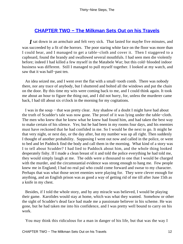## **[CHAPTER TWO − The Milkman Sets Out on his Travels](#page-87-0)**

*I* sat down in an armchair and felt very sick. That lasted for maybe five minutes, and was succeeded by a fit of the horrors. The poor staring white face on the floor was more than I could bear, and I managed to get a table−cloth and cover it. Then I staggered to a cupboard, found the brandy and swallowed several mouthfuls. I had seen men die violently before; indeed I had killed a few myself in the Matabele War; but this cold−blooded indoor business was different. Still I managed to pull myself together. I looked at my watch, and saw that it was half−past ten.

 An idea seized me, and I went over the flat with a small−tooth comb. There was nobody there, nor any trace of anybody, but I shuttered and bolted all the windows and put the chain on the door. By this time my wits were coming back to me, and I could think again. It took me about an hour to figure the thing out, and I did not hurry, for, unless the murderer came back, I had till about six o'clock in the morning for my cogitations.

 I was in the soup − that was pretty clear. Any shadow of a doubt I might have had about the truth of Scudder's tale was now gone. The proof of it was lying under the table−cloth. The men who knew that he knew what he knew had found him, and had taken the best way to make certain of his silence. Yes; but he had been in my rooms four days, and his enemies must have reckoned that he had confided in me. So I would be the next to go. It might be that very night, or next day, or the day after, but my number was up all right. Then suddenly I thought of another probability. Supposing I went out now and called in the police, or went to bed and let Paddock find the body and call them in the morning. What kind of a story was I to tell about Scudder? I had lied to Paddock about him, and the whole thing looked desperately fishy. If I made a clean breast of it and told the police everything he had told me, they would simply laugh at me. The odds were a thousand to one that I would be charged with the murder, and the circumstantial evidence was strong enough to hang me. Few people knew me in England; I had no real pal who could come forward and swear to my character. Perhaps that was what those secret enemies were playing for. They were clever enough for anything, and an English prison was as good a way of getting rid of me till after June 15th as a knife in my chest.

 Besides, if I told the whole story, and by any miracle was believed, I would be playing their game. Karolides would stay at home, which was what they wanted. Somehow or other the sight of Scudder's dead face had made me a passionate believer in his scheme. He was gone, but he had taken me into his confidence, and I was pretty well bound to carry on his work.

You may think this ridiculous for a man in danger of his life, but that was the way I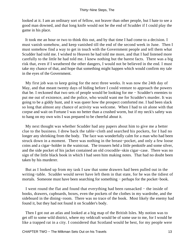looked at it. I am an ordinary sort of fellow, not braver than other people, but I hate to see a good man downed, and that long knife would not be the end of Scudder if I could play the game in his place.

 It took me an hour or two to think this out, and by that time I had come to a decision. I must vanish somehow, and keep vanished till the end of the second week in June. Then I must somehow find a way to get in touch with the Government people and tell them what Scudder had told me. I wished to Heaven he had told me more, and that I had listened more carefully to the little he had told me. I knew nothing but the barest facts. There was a big risk that, even if I weathered the other dangers, I would not be believed in the end. I must take my chance of that, and hope that something might happen which would confirm my tale in the eyes of the Government.

 My first job was to keep going for the next three weeks. It was now the 24th day of May, and that meant twenty days of hiding before I could venture to approach the powers that be. I reckoned that two sets of people would be looking for me − Scudder's enemies to put me out of existence, and the police, who would want me for Scudder's murder. It was going to be a giddy hunt, and it was queer how the prospect comforted me. I had been slack so long that almost any chance of activity was welcome. When I had to sit alone with that corpse and wait on Fortune I was no better than a crushed worm, but if my neck's safety was to hang on my own wits I was prepared to be cheerful about it.

 My next thought was whether Scudder had any papers about him to give me a better clue to the business. I drew back the table−cloth and searched his pockets, for I had no longer any shrinking from the body. The face was wonderfully calm for a man who had been struck down in a moment. There was nothing in the breast−pocket, and only a few loose coins and a cigar−holder in the waistcoat. The trousers held a little penknife and some silver, and the side pocket of his jacket contained an old crocodile−skin cigar−case. There was no sign of the little black book in which I had seen him making notes. That had no doubt been taken by his murderer.

 But as I looked up from my task I saw that some drawers had been pulled out in the writing−table. Scudder would never have left them in that state, for he was the tidiest of mortals. Someone must have been searching for something – perhaps for the pocket–book.

 I went round the flat and found that everything had been ransacked − the inside of books, drawers, cupboards, boxes, even the pockets of the clothes in my wardrobe, and the sideboard in the dining−room. There was no trace of the book. Most likely the enemy had found it, but they had not found it on Scudder's body.

 Then I got out an atlas and looked at a big map of the British Isles. My notion was to get off to some wild district, where my veldcraft would be of some use to me, for I would be like a trapped rat in a city. I considered that Scotland would be best, for my people were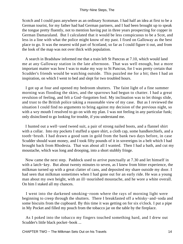Scotch and I could pass anywhere as an ordinary Scotsman. I had half an idea at first to be a German tourist, for my father had had German partners, and I had been brought up to speak the tongue pretty fluently, not to mention having put in three years prospecting for copper in German Damaraland. But I calculated that it would be less conspicuous to be a Scot, and less in a line with what the police might know of my past. I fixed on Galloway as the best place to go. It was the nearest wild part of Scotland, so far as I could figure it out, and from the look of the map was not over thick with population.

 A search in Bradshaw informed me that a train left St Pancras at 7.10, which would land me at any Galloway station in the late afternoon. That was well enough, but a more important matter was how I was to make my way to St Pancras, for I was pretty certain that Scudder's friends would be watching outside. This puzzled me for a bit; then I had an inspiration, on which I went to bed and slept for two troubled hours.

 I got up at four and opened my bedroom shutters. The faint light of a fine summer morning was flooding the skies, and the sparrows had begun to chatter. I had a great revulsion of feeling, and felt a God−forgotten fool. My inclination was to let things slide, and trust to the British police taking a reasonable view of my case. But as I reviewed the situation I could find no arguments to bring against my decision of the previous night, so with a wry mouth I resolved to go on with my plan. I was not feeling in any particular funk; only disinclined to go looking for trouble, if you understand me.

 I hunted out a well−used tweed suit, a pair of strong nailed boots, and a flannel shirt with a collar. Into my pockets I stuffed a spare shirt, a cloth cap, some handkerchiefs, and a tooth−brush. I had drawn a good sum in gold from the bank two days before, in case Scudder should want money, and I took fifty pounds of it in sovereigns in a belt which I had brought back from Rhodesia. That was about all I wanted. Then I had a bath, and cut my moustache, which was long and drooping, into a short stubbly fringe.

 Now came the next step. Paddock used to arrive punctually at 7.30 and let himself in with a latch−key. But about twenty minutes to seven, as I knew from bitter experience, the milkman turned up with a great clatter of cans, and deposited my share outside my door. I had seen that milkman sometimes when I had gone out for an early ride. He was a young man about my own height, with an ill−nourished moustache, and he wore a white overall. On him I staked all my chances.

 I went into the darkened smoking−room where the rays of morning light were beginning to creep through the shutters. There I breakfasted off a whisky−and−soda and some biscuits from the cupboard. By this time it was getting on for six o'clock. I put a pipe in My Pocket and filled my pouch from the tobacco jar on the table by the fireplace.

 As I poked into the tobacco my fingers touched something hard, and I drew out Scudder's little black pocket−book ...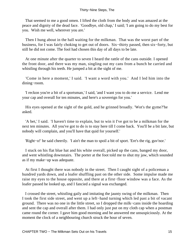That seemed to me a good omen. I lifted the cloth from the body and was amazed at the peace and dignity of the dead face. 'Goodbye, old chap,' I said; 'I am going to do my best for you. Wish me well, wherever you are.'

 Then I hung about in the hall waiting for the milkman. That was the worst part of the business, for I was fairly choking to get out of doors. Six−thirty passed, then six−forty, but still he did not come. The fool had chosen this day of all days to be late.

 At one minute after the quarter to seven I heard the rattle of the cans outside. I opened the front door, and there was my man, singling out my cans from a bunch he carried and whistling through his teeth. He jumped a bit at the sight of me.

 'Come in here a moment,' I said. 'I want a word with you.' And I led him into the dining−room.

 'I reckon you're a bit of a sportsman,' I said, 'and I want you to do me a service. Lend me your cap and overall for ten minutes, and here's a sovereign for you.'

 His eyes opened at the sight of the gold, and he grinned broadly. 'Wot's the gyme?'he asked.

 'A bet,' I said. 'I haven't time to explain, but to win it I've got to be a milkman for the next ten minutes. All you've got to do is to stay here till I come back. You'll be a bit late, but nobody will complain, and you'll have that quid for yourself.'

'Right−o!' he said cheerily. 'I ain't the man to spoil a bit of sport. 'Ere's the rig, guv'nor.'

 I stuck on his flat blue hat and his white overall, picked up the cans, banged my door, and went whistling downstairs. The porter at the foot told me to shut my jaw, which sounded as if my make−up was adequate.

 At first I thought there was nobody in the street. Then I caught sight of a policeman a hundred yards down, and a loafer shuffling past on the other side. Some impulse made me raise my eyes to the house opposite, and there at a first−floor window was a face. As the loafer passed he looked up, and I fancied a signal was exchanged.

 I crossed the street, whistling gaily and imitating the jaunty swing of the milkman. Then I took the first side street, and went up a left−hand turning which led past a bit of vacant ground. There was no one in the little street, so I dropped the milk−cans inside the hoarding and sent the cap and overall after them. I had only just put on my cloth cap when a postman came round the corner. I gave him good morning and he answered me unsuspiciously. At the moment the clock of a neighbouring church struck the hour of seven.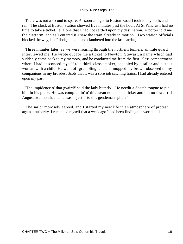There was not a second to spare. As soon as I got to Euston Road I took to my heels and ran. The clock at Euston Station showed five minutes past the hour. At St Pancras I had no time to take a ticket, let alone that I had not settled upon my destination. A porter told me the platform, and as I entered it I saw the train already in motion. Two station officials blocked the way, but I dodged them and clambered into the last carriage.

 Three minutes later, as we were roaring through the northern tunnels, an irate guard interviewed me. He wrote out for me a ticket to Newton−Stewart, a name which had suddenly come back to my memory, and he conducted me from the first−class compartment where I had ensconced myself to a third−class smoker, occupied by a sailor and a stout woman with a child. He went off grumbling, and as I mopped my brow I observed to my companions in my broadest Scots that it was a sore job catching trains. I had already entered upon my part.

 'The impidence o' that gyaird!' said the lady bitterly. 'He needit a Scotch tongue to pit him in his place. He was complainin' o' this wean no haein' a ticket and her no fower till August twalmonth, and he was objectin' to this gentleman spittin'.'

 The sailor morosely agreed, and I started my new life in an atmosphere of protest against authority. I reminded myself that a week ago I had been finding the world dull.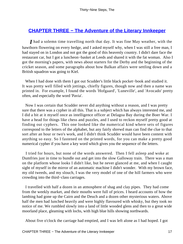# **CHAPTER THREE – The Adventure of the Literary Innkeeper**

*I* had a solemn time travelling north that day. It was fine May weather, with the hawthorn flowering on every hedge, and I asked myself why, when I was still a free man, I had stayed on in London and not got the good of this heavenly country. I didn't dare face the restaurant car, but I got a luncheon−basket at Leeds and shared it with the fat woman. Also I got the morning's papers, with news about starters for the Derby and the beginning of the cricket season, and some paragraphs about how Balkan affairs were settling down and a British squadron was going to Kiel.

 When I had done with them I got out Scudder's little black pocket−book and studied it. It was pretty well filled with jottings, chiefly figures, though now and then a name was printed in. For example, I found the words 'Hofgaard', 'Luneville', and 'Avocado' pretty often, and especially the word 'Pavia'.

 Now I was certain that Scudder never did anything without a reason, and I was pretty sure that there was a cypher in all this. That is a subject which has always interested me, and I did a bit at it myself once as intelligence officer at Delagoa Bay during the Boer War. I have a head for things like chess and puzzles, and I used to reckon myself pretty good at finding out cyphers. This one looked like the numerical kind where sets of figures correspond to the letters of the alphabet, but any fairly shrewd man can find the clue to that sort after an hour or two's work, and I didn't think Scudder would have been content with anything so easy. So I fastened on the printed words, for you can make a pretty good numerical cypher if you have a key word which gives you the sequence of the letters.

 I tried for hours, but none of the words answered. Then I fell asleep and woke at Dumfries just in time to bundle out and get into the slow Galloway train. There was a man on the platform whose looks I didn't like, but he never glanced at me, and when I caught sight of myself in the mirror of an automatic machine I didn't wonder. With my brown face, my old tweeds, and my slouch, I was the very model of one of the hill farmers who were crowding into the third−class carriages.

 I travelled with half a dozen in an atmosphere of shag and clay pipes. They had come from the weekly market, and their mouths were full of prices. I heard accounts of how the lambing had gone up the Cairn and the Deuch and a dozen other mysterious waters. Above half the men had lunched heavily and were highly flavoured with whisky, but they took no notice of me. We rumbled slowly into a land of little wooded glens and then to a great wide moorland place, gleaming with lochs, with high blue hills showing northwards.

About five o'clock the carriage had emptied, and I was left alone as I had hoped. I got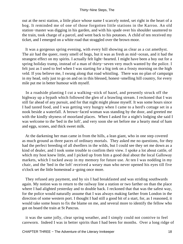out at the next station, a little place whose name I scarcely noted, set right in the heart of a bog. It reminded me of one of those forgotten little stations in the Karroo. An old station−master was digging in his garden, and with his spade over his shoulder sauntered to the train, took charge of a parcel, and went back to his potatoes. A child of ten received my ticket, and I emerged on a white road that straggled over the brown moor.

 It was a gorgeous spring evening, with every hill showing as clear as a cut amethyst. The air had the queer, rooty smell of bogs, but it was as fresh as mid−ocean, and it had the strangest effect on my spirits. I actually felt light−hearted. I might have been a boy out for a spring holiday tramp, instead of a man of thirty−seven very much wanted by the police. I felt just as I used to feel when I was starting for a big trek on a frosty morning on the high veld. If you believe me, I swung along that road whistling. There was no plan of campaign in my head, only just to go on and on in this blessed, honest−smelling hill country, for every mile put me in better humour with myself.

 In a roadside planting I cut a walking−stick of hazel, and presently struck off the highway up a bypath which followed the glen of a brawling stream. I reckoned that I was still far ahead of any pursuit, and for that night might please myself. It was some hours since I had tasted food, and I was getting very hungry when I came to a herd's cottage set in a nook beside a waterfall. A brown−faced woman was standing by the door, and greeted me with the kindly shyness of moorland places. When I asked for a night's lodging she said I was welcome to the 'bed in the loft', and very soon she set before me a hearty meal of ham and eggs, scones, and thick sweet milk.

 At the darkening her man came in from the hills, a lean giant, who in one step covered as much ground as three paces of ordinary mortals. They asked me no questions, for they had the perfect breeding of all dwellers in the wilds, but I could see they set me down as a kind of dealer, and I took some trouble to confirm their view. I spoke a lot about cattle, of which my host knew little, and I picked up from him a good deal about the local Galloway markets, which I tucked away in my memory for future use. At ten I was nodding in my chair, and the 'bed in the loft' received a weary man who never opened his eyes till five o'clock set the little homestead a−going once more.

 They refused any payment, and by six I had breakfasted and was striding southwards again. My notion was to return to the railway line a station or two farther on than the place where I had alighted yesterday and to double back. I reckoned that that was the safest way, for the police would naturally assume that I was always making farther from London in the direction of some western port. I thought I had still a good bit of a start, for, as I reasoned, it would take some hours to fix the blame on me, and several more to identify the fellow who got on board the train at St Pancras.

 it was the same jolly, clear spring weather, and I simply could not contrive to feel careworn. Indeed I was in better spirits than I had been for months. Over a long ridge of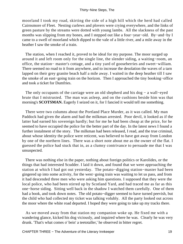moorland I took my road, skirting the side of a high hill which the herd had called Cairnsmore of Fleet. Nesting curlews and plovers were crying everywhere, and the links of green pasture by the streams were dotted with young lambs. All the slackness of the past months was slipping from my bones, and I stepped out like a four−year−old. By−and−by I came to a swell of moorland which dipped to the vale of a little river, and a mile away in the heather I saw the smoke of a train.

 The station, when I reached it, proved to be ideal for my purpose. The moor surged up around it and left room only for the single line, the slender siding, a waiting−room, an office, the station− master's cottage, and a tiny yard of gooseberries and sweet−william. There seemed no road to it from anywhere, and to increase the desolation the waves of a tarn lapped on their grey granite beach half a mile away. I waited in the deep heather till I saw the smoke of an east−going train on the horizon. Then I approached the tiny booking−office and took a ticket for Dumfries.

 The only occupants of the carriage were an old shepherd and his dog − a wall−eyed brute that I mistrusted. The man was asleep, and on the cushions beside him was that morning's **SCOTSMAN.** Eagerly I seized on it, for I fancied it would tell me something.

 There were two columns about the Portland Place Murder, as it was called. My man Paddock had given the alarm and had the milkman arrested. Poor devil, it looked as if the latter had earned his sovereign hardly; but for me he had been cheap at the price, for he seemed to have occupied the police for the better part of the day. In the latest news I found a further instalment of the story. The milkman had been released, I read, and the true criminal, about whose identity the police were reticent, was believed to have got away from London by one of the northern lines. There was a short note about me as the owner of the flat. I guessed the police had stuck that in, as a clumsy contrivance to persuade me that I was unsuspected.

 There was nothing else in the paper, nothing about foreign politics or Karolides, or the things that had interested Scudder. I laid it down, and found that we were approaching the station at which I had got out yesterday. The potato−digging station−master had been gingered up into some activity, for the west−going train was waiting to let us pass, and from it had descended three men who were asking him questions. I supposed that they were the local police, who had been stirred up by Scotland Yard, and had traced me as far as this one−horse siding. Sitting well back in the shadow I watched them carefully. One of them had a book, and took down notes. The old potato−digger seemed to have turned peevish, but the child who had collected my ticket was talking volubly. All the party looked out across the moor where the white road departed. I hoped they were going to take up my tracks there.

 As we moved away from that station my companion woke up. He fixed me with a wandering glance, kicked his dog viciously, and inquired where he was. Clearly he was very drunk. 'That's what comes o' bein' a teetotaller,' he observed in bitter regret.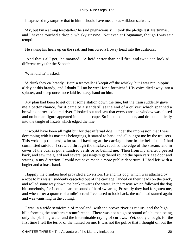I expressed my surprise that in him I should have met a blue− ribbon stalwart.

 'Ay, but I'm a strong teetotaller,' he said pugnaciously. 'I took the pledge last Martinmas, and I havena touched a drop o' whisky sinsyne. Not even at Hogmanay, though I was sair temptit.'

He swung his heels up on the seat, and burrowed a frowsy head into the cushions.

 'And that's a' I get,' he moaned. 'A heid hetter than hell fire, and twae een lookin' different ways for the Sabbath.'

'What did it?' I asked.

 'A drink they ca' brandy. Bein' a teetotaller I keepit off the whisky, but I was nip−nippin' a' day at this brandy, and I doubt I'll no be weel for a fortnicht.' His voice died away into a splutter, and sleep once more laid its heavy hand on him.

 My plan had been to get out at some station down the line, but the train suddenly gave me a better chance, for it came to a standstill at the end of a culvert which spanned a brawling porter−coloured river. I looked out and saw that every carriage window was closed and no human figure appeared in the landscape. So I opened the door, and dropped quickly into the tangle of hazels which edged the line.

 it would have been all right but for that infernal dog. Under the impression that I was decamping with its master's belongings, it started to bark, and all but got me by the trousers. This woke up the herd, who stood bawling at the carriage door in the belief that I had committed suicide. I crawled through the thicket, reached the edge of the stream, and in cover of the bushes put a hundred yards or so behind me. Then from my shelter I peered back, and saw the guard and several passengers gathered round the open carriage door and staring in my direction. I could not have made a more public departure if I had left with a bugler and a brass band.

 Happily the drunken herd provided a diversion. He and his dog, which was attached by a rope to his waist, suddenly cascaded out of the carriage, landed on their heads on the track, and rolled some way down the bank towards the water. In the rescue which followed the dog bit somebody, for I could hear the sound of hard swearing. Presently they had forgotten me, and when after a quarter of a mile's crawl I ventured to look back, the train had started again and was vanishing in the cutting.

 I was in a wide semicircle of moorland, with the brown river as radius, and the high hills forming the northern circumference. There was not a sign or sound of a human being, only the plashing water and the interminable crying of curlews. Yet, oddly enough, for the first time I felt the terror of the hunted on me. It was not the police that I thought of, but the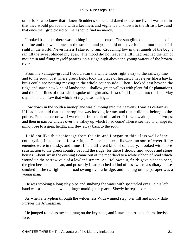other folk, who knew that I knew Scudder's secret and dared not let me live. I was certain that they would pursue me with a keenness and vigilance unknown to the British law, and that once their grip closed on me I should find no mercy.

 I looked back, but there was nothing in the landscape. The sun glinted on the metals of the line and the wet stones in the stream, and you could not have found a more peaceful sight in the world. Nevertheless I started to run. Crouching low in the runnels of the bog, I ran till the sweat blinded my eyes. The mood did not leave me till I had reached the rim of mountain and flung myself panting on a ridge high above the young waters of the brown river.

 From my vantage−ground I could scan the whole moor right away to the railway line and to the south of it where green fields took the place of heather. I have eyes like a hawk, but I could see nothing moving in the whole countryside. Then I looked east beyond the ridge and saw a new kind of landscape − shallow green valleys with plentiful fir plantations and the faint lines of dust which spoke of highroads. Last of all I looked into the blue May sky, and there I saw that which set my pulses racing ...

 Low down in the south a monoplane was climbing into the heavens. I was as certain as if I had been told that that aeroplane was looking for me, and that it did not belong to the police. For an hour or two I watched it from a pit of heather. It flew low along the hill−tops, and then in narrow circles over the valley up which I had come' Then it seemed to change its mind, rose to a great height, and flew away back to the south.

 I did not like this espionage from the air, and I began to think less well of the countryside I had chosen for a refuge. These heather hills were no sort of cover if my enemies were in the sky, and I must find a different kind of sanctuary. I looked with more satisfaction to the green country beyond the ridge, for there I should find woods and stone houses. About six in the evening I came out of the moorland to a white ribbon of road which wound up the narrow vale of a lowland stream. As I followed it, fields gave place to bent, the glen became a plateau, and presently I had reached a kind of pass where a solitary house smoked in the twilight. The road swung over a bridge, and leaning on the parapet was a young man.

 He was smoking a long clay pipe and studying the water with spectacled eyes. In his left hand was a small book with a finger marking the place. Slowly he repeated −

 As when a Gryphon through the wilderness With winged step, o'er hill and moory dale Pursues the Arimaspian.

 He jumped round as my step rung on the keystone, and I saw a pleasant sunburnt boyish face.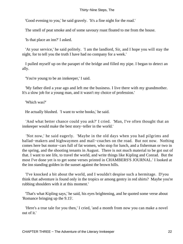'Good evening to you,' he said gravely. 'It's a fine night for the road.'

The smell of peat smoke and of some savoury roast floated to me from the house.

'Is that place an inn?' I asked.

 'At your service,' he said politely. 'I am the landlord, Sir, and I hope you will stay the night, for to tell you the truth I have had no company for a week.'

 I pulled myself up on the parapet of the bridge and filled my pipe. I began to detect an ally.

'You're young to be an innkeeper,' I said.

 'My father died a year ago and left me the business. I live there with my grandmother. It's a slow job for a young man, and it wasn't my choice of profession.'

'Which was?'

He actually blushed. 'I want to write books,' he said.

 'And what better chance could you ask?' I cried. 'Man, I've often thought that an innkeeper would make the best story−teller in the world.'

 'Not now,' he said eagerly. 'Maybe in the old days when you had pilgrims and ballad−makers and highwaymen and mail−coaches on the road. But not now. Nothing comes here but motor−cars full of fat women, who stop for lunch, and a fisherman or two in the spring, and the shooting tenants in August. There is not much material to be got out of that. I want to see life, to travel the world, and write things like Kipling and Conrad. But the most I've done yet is to get some verses printed in CHAMBERS'S JOURNAL.' I looked at the inn standing golden in the sunset against the brown hills.

 'I've knocked a bit about the world, and I wouldn't despise such a hermitage. D'you think that adventure is found only in the tropics or among gentry in red shirts? Maybe you're rubbing shoulders with it at this moment.'

 'That's what Kipling says,' he said, his eyes brightening, and he quoted some verse about 'Romance bringing up the 9.15'.

 'Here's a true tale for you then,' I cried, 'and a month from now you can make a novel out of it.'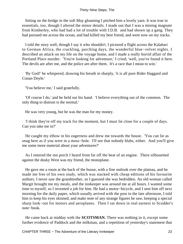Sitting on the bridge in the soft May gloaming I pitched him a lovely yarn. It was true in essentials, too, though I altered the minor details. I made out that I was a mining magnate from Kimberley, who had had a lot of trouble with I.D.B. and had shown up a gang. They had pursued me across the ocean, and had killed my best friend, and were now on my tracks.

 I told the story well, though I say it who shouldn't. I pictured a flight across the Kalahari to German Africa, the crackling, parching days, the wonderful blue−velvet nights. I described an attack on my life on the voyage home, and I made a really horrid affair of the Portland Place murder. 'You're looking for adventure,' I cried; 'well, you've found it here. The devils are after me, and the police are after them. It's a race that I mean to win.'

 'By God!' he whispered, drawing his breath in sharply, 'it is all pure Rider Haggard and Conan Doyle.'

'You believe me,' I said gratefully.

 'Of course I do,' and he held out his hand. 'I believe everything out of the common. The only thing to distrust is the normal.'

He was very young, but he was the man for my money.

 'I think they're off my track for the moment, but I must lie close for a couple of days. Can you take me in?'

 He caught my elbow in his eagerness and drew me towards the house. 'You can lie as snug here as if you were in a moss−hole. I'll see that nobody blabs, either. And you'll give me some more material about your adventures?'

 As I entered the inn porch I heard from far off the beat of an engine. There silhouetted against the dusky West was my friend, the monoplane.

 He gave me a room at the back of the house, with a fine outlook over the plateau, and he made me free of his own study, which was stacked with cheap editions of his favourite authors. I never saw the grandmother, so I guessed she was bedridden. An old woman called Margit brought me my meals, and the innkeeper was around me at all hours. I wanted some time to myself, so I invented a job for him. He had a motor−bicycle, and I sent him off next morning for the daily paper, which usually arrived with the post in the late afternoon. I told him to keep his eyes skinned, and make note of any strange figures he saw, keeping a special sharp look−out for motors and aeroplanes. Then I sat down in real earnest to Scudder's note−book.

 He came back at midday with the **SCOTSMAN.** There was nothing in it, except some further evidence of Paddock and the milkman, and a repetition of yesterday's statement that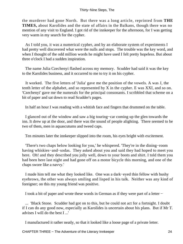the murderer had gone North. But there was a long article, reprinted from **THE TIMES,** about Karolides and the state of affairs in the Balkans, though there was no mention of any visit to England. I got rid of the innkeeper for the afternoon, for I was getting very warm in my search for the cypher.

 As I told you, it was a numerical cypher, and by an elaborate system of experiments I had pretty well discovered what were the nulls and stops. The trouble was the key word, and when I thought of the odd million words he might have used I felt pretty hopeless. But about three o'clock I had a sudden inspiration.

 The name Julia Czechenyi flashed across my memory. Scudder had said it was the key to the Karolides business, and it occurred to me to try it on his cypher.

 It worked. The five letters of 'Julia' gave me the position of the vowels. A was J, the tenth letter of the alphabet, and so represented by X in the cypher. E was XXI, and so on. 'Czechenyi' gave me the numerals for the principal consonants. I scribbled that scheme on a bit of paper and sat down to read Scudder's pages.

In half an hour I was reading with a whitish face and fingers that drummed on the table.

 I glanced out of the window and saw a big touring−car coming up the glen towards the inn. It drew up at the door, and there was the sound of people alighting. There seemed to be two of them, men in aquascutums and tweed caps.

Ten minutes later the innkeeper slipped into the room, his eyes bright with excitement.

 'There's two chaps below looking for you,' he whispered. 'They're in the dining−room having whiskies−and−sodas. They asked about you and said they had hoped to meet you here. Oh! and they described you jolly well, down to your boots and shirt. I told them you had been here last night and had gone off on a motor bicycle this morning, and one of the chaps swore like a navvy.'

 I made him tell me what they looked like. One was a dark−eyed thin fellow with bushy eyebrows, the other was always smiling and lisped in his talk. Neither was any kind of foreigner; on this my young friend was positive.

I took a bit of paper and wrote these words in German as if they were part of a letter −

 ... 'Black Stone. Scudder had got on to this, but he could not act for a fortnight. I doubt if I can do any good now, especially as Karolides is uncertain about his plans. But if Mr T. advises I will do the best I ...'

I manufactured it rather neatly, so that it looked like a loose page of a private letter.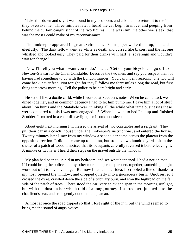'Take this down and say it was found in my bedroom, and ask them to return it to me if they overtake me.' Three minutes later I heard the car begin to move, and peeping from behind the curtain caught sight of the two figures. One was slim, the other was sleek; that was the most I could make of my reconnaissance.

 The innkeeper appeared in great excitement. 'Your paper woke them up,' he said gleefully. 'The dark fellow went as white as death and cursed like blazes, and the fat one whistled and looked ugly. They paid for their drinks with half−a−sovereign and wouldn't wait for change.'

 'Now I'll tell you what I want you to do,' I said. 'Get on your bicycle and go off to Newton−Stewart to the Chief Constable. Describe the two men, and say you suspect them of having had something to do with the London murder. You can invent reasons. The two will come back, never fear. Not tonight, for they'll follow me forty miles along the road, but first thing tomorrow morning. Tell the police to be here bright and early.'

 He set off like a docile child, while I worked at Scudder's notes. When he came back we dined together, and in common decency I had to let him pump me. I gave him a lot of stuff about lion hunts and the Matabele War, thinking all the while what tame businesses these were compared to this I was now engaged in! When he went to bed I sat up and finished Scudder. I smoked in a chair till daylight, for I could not sleep.

 About eight next morning I witnessed the arrival of two constables and a sergeant. They put their car in a coach−house under the innkeeper's instructions, and entered the house. Twenty minutes later I saw from my window a second car come across the plateau from the opposite direction. It did not come up to the inn, but stopped two hundred yards off in the shelter of a patch of wood. I noticed that its occupants carefully reversed it before leaving it. A minute or two later I heard their steps on the gravel outside the window.

 My plan had been to lie hid in my bedroom, and see what happened. I had a notion that, if I could bring the police and my other more dangerous pursuers together, something might work out of it to my advantage. But now I had a better idea. I scribbled a line of thanks to my host, opened the window, and dropped quietly into a gooseberry bush. Unobserved I crossed the dyke, crawled down the side of a tributary burn, and won the highroad on the far side of the patch of trees. There stood the car, very spick and span in the morning sunlight, but with the dust on her which told of a long journey. I started her, jumped into the chauffeur's seat, and stole gently out on to the plateau.

 Almost at once the road dipped so that I lost sight of the inn, but the wind seemed to bring me the sound of angry voices.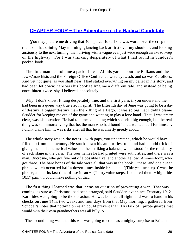# **[CHAPTER FOUR − The Adventure of the Radical Candidate](#page-87-0)**

You may picture me driving that 40 h.p. car for all she was worth over the crisp moor roads on that shining May morning; glancing back at first over my shoulder, and looking anxiously to the next turning; then driving with a vague eye, just wide enough awake to keep on the highway. For I was thinking desperately of what I had found in Scudder's pocket−book.

 The little man had told me a pack of lies. All his yarns about the Balkans and the Jew−Anarchists and the Foreign Office Conference were eyewash, and so was Karolides. And yet not quite, as you shall hear. I had staked everything on my belief in his story, and had been let down; here was his book telling me a different tale, and instead of being once−bitten−twice−shy, I believed it absolutely.

 Why, I don't know. It rang desperately true, and the first yarn, if you understand me, had been in a queer way true also in spirit. The fifteenth day of June was going to be a day of destiny, a bigger destiny than the killing of a Dago. It was so big that I didn't blame Scudder for keeping me out of the game and wanting to play a lone hand. That, I was pretty clear, was his intention. He had told me something which sounded big enough, but the real thing was so immortally big that he, the man who had found it out, wanted it all for himself. I didn't blame him. It was risks after all that he was chiefly greedy about.

The whole story was in the notes – with gaps, you understand, which he would have filled up from his memory. He stuck down his authorities, too, and had an odd trick of giving them all a numerical value and then striking a balance, which stood for the reliability of each stage in the yarn. The four names he had printed were authorities, and there was a man, Ducrosne, who got five out of a possible five; and another fellow, Ammersfoort, who got three. The bare bones of the tale were all that was in the book − these, and one queer phrase which occurred half a dozen times inside brackets. '(Thirty−nine steps)' was the phrase; and at its last time of use it ran − '(Thirty−nine steps, I counted them − high tide 10.17 p.m.)'. I could make nothing of that.

 The first thing I learned was that it was no question of preventing a war. That was coming, as sure as Christmas: had been arranged, said Scudder, ever since February 1912. Karolides was going to be the occasion. He was booked all right, and was to hand in his checks on June 14th, two weeks and four days from that May morning. I gathered from Scudder's notes that nothing on earth could prevent that. His talk of Epirote guards that would skin their own grandmothers was all billy−o.

The second thing was that this war was going to come as a mighty surprise to Britain.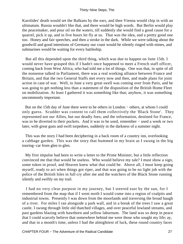Karolides' death would set the Balkans by the ears, and then Vienna would chip in with an ultimatum. Russia wouldn't like that, and there would be high words. But Berlin would play the peacemaker, and pour oil on the waters, till suddenly she would find a good cause for a quarrel, pick it up, and in five hours let fly at us. That was the idea, and a pretty good one too. Honey and fair speeches, and then a stroke in the dark. While we were talking about the goodwill and good intentions of Germany our coast would be silently ringed with mines, and submarines would be waiting for every battleship.

 But all this depended upon the third thing, which was due to happen on June 15th. I would never have grasped this if I hadn't once happened to meet a French staff officer, coming back from West Africa, who had told me a lot of things. One was that, in spite of all the nonsense talked in Parliament, there was a real working alliance between France and Britain, and that the two General Staffs met every now and then, and made plans for joint action in case of war. Well, in June a very great swell was coming over from Paris, and he was going to get nothing less than a statement of the disposition of the British Home Fleet on mobilization. At least I gathered it was something like that; anyhow, it was something uncommonly important.

 But on the 15th day of June there were to be others in London − others, at whom I could only guess. Scudder was content to call them collectively the 'Black Stone'. They represented not our Allies, but our deadly foes; and the information, destined for France, was to be diverted to their pockets. And it was to be used, remember – used a week or two later, with great guns and swift torpedoes, suddenly in the darkness of a summer night.

 This was the story I had been deciphering in a back room of a country inn, overlooking a cabbage garden. This was the story that hummed in my brain as I swung in the big touring−car from glen to glen.

 My first impulse had been to write a letter to the Prime Minister, but a little reflection convinced me that that would be useless. Who would believe my tale? I must show a sign, some token in proof, and Heaven knew what that could be. Above all, I must keep going myself, ready to act when things got riper, and that was going to be no light job with the police of the British Isles in full cry after me and the watchers of the Black Stone running silently and swiftly on my trail.

 I had no very clear purpose in my journey, but I steered east by the sun, for I remembered from the map that if I went north I would come into a region of coalpits and industrial towns. Presently I was down from the moorlands and traversing the broad haugh of a river. For miles I ran alongside a park wall, and in a break of the trees I saw a great castle. I swung through little old thatched villages, and over peaceful lowland streams, and past gardens blazing with hawthorn and yellow laburnum. The land was so deep in peace that I could scarcely believe that somewhere behind me were those who sought my life; ay, and that in a month's time, unless I had the almightiest of luck, these round country faces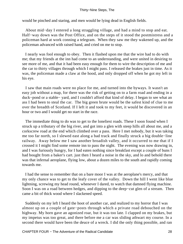would be pinched and staring, and men would be lying dead in English fields.

 About mid−day I entered a long straggling village, and had a mind to stop and eat. Half−way down was the Post Office, and on the steps of it stood the postmistress and a policeman hard at work conning a telegram. When they saw me they wakened up, and the policeman advanced with raised hand, and cried on me to stop.

 I nearly was fool enough to obey. Then it flashed upon me that the wire had to do with me; that my friends at the inn had come to an understanding, and were united in desiring to see more of me, and that it had been easy enough for them to wire the description of me and the car to thirty villages through which I might pass. I released the brakes just in time. As it was, the policeman made a claw at the hood, and only dropped off when he got my left in his eye.

 I saw that main roads were no place for me, and turned into the byways. It wasn't an easy job without a map, for there was the risk of getting on to a farm road and ending in a duck−pond or a stable− yard, and I couldn't afford that kind of delay. I began to see what an ass I had been to steal the car. The big green brute would be the safest kind of clue to me over the breadth of Scotland. If I left it and took to my feet, it would be discovered in an hour or two and I would get no start in the race.

 The immediate thing to do was to get to the loneliest roads. These I soon found when I struck up a tributary of the big river, and got into a glen with steep hills all about me, and a corkscrew road at the end which climbed over a pass. Here I met nobody, but it was taking me too far north, so I slewed east along a bad track and finally struck a big double−line railway. Away below me I saw another broadish valley, and it occurred to me that if I crossed it I might find some remote inn to pass the night. The evening was now drawing in, and I was furiously hungry, for I had eaten nothing since breakfast except a couple of buns I had bought from a baker's cart. just then I heard a noise in the sky, and lo and behold there was that infernal aeroplane, flying low, about a dozen miles to the south and rapidly coming towards me.

 I had the sense to remember that on a bare moor I was at the aeroplane's mercy, and that my only chance was to get to the leafy cover of the valley. Down the hill I went like blue lightning, screwing my head round, whenever I dared, to watch that damned flying machine. Soon I was on a road between hedges, and dipping to the deep−cut glen of a stream. Then came a bit of thick wood where I slackened speed.

 Suddenly on my left I heard the hoot of another car, and realized to my horror that I was almost up on a couple of gate−posts through which a private road debouched on the highway. My horn gave an agonized roar, but it was too late. I clapped on my brakes, but my impetus was too great, and there before me a car was sliding athwart my course. In a second there would have been the deuce of a wreck. I did the only thing possible, and ran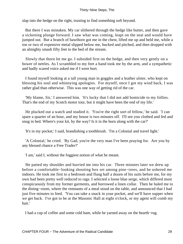slap into the hedge on the right, trusting to find something soft beyond.

 But there I was mistaken. My car slithered through the hedge like butter, and then gave a sickening plunge forward. I saw what was coming, leapt on the seat and would have jumped out. But a branch of hawthorn got me in the chest, lifted me up and held me, while a ton or two of expensive metal slipped below me, bucked and pitched, and then dropped with an almighty smash fifty feet to the bed of the stream.

 Slowly that thorn let me go. I subsided first on the hedge, and then very gently on a bower of nettles. As I scrambled to my feet a hand took me by the arm, and a sympathetic and badly scared voice asked me if I were hurt.

 I found myself looking at a tall young man in goggles and a leather ulster, who kept on blessing his soul and whinnying apologies. For myself, once I got my wind back, I was rather glad than otherwise. This was one way of getting rid of the car.

 'My blame, Sir,' I answered him. 'It's lucky that I did not add homicide to my follies. That's the end of my Scotch motor tour, but it might have been the end of my life.'

 He plucked out a watch and studied it. 'You're the right sort of fellow,' he said. 'I can spare a quarter of an hour, and my house is two minutes off. I'll see you clothed and fed and snug in bed. Where's your kit, by the way? Is it in the burn along with the car?'

'It's in my pocket,' I said, brandishing a toothbrush. 'I'm a Colonial and travel light.'

 'A Colonial,' he cried. 'By Gad, you're the very man I've been praying for. Are you by any blessed chance a Free Trader?'

'I am,' said I, without the foggiest notion of what he meant.

 He patted my shoulder and hurried me into his car. Three minutes later we drew up before a comfortable−looking shooting box set among pine−trees, and he ushered me indoors. He took me first to a bedroom and flung half a dozen of his suits before me, for my own had been pretty well reduced to rags. I selected a loose blue serge, which differed most conspicuously from my former garments, and borrowed a linen collar. Then he haled me to the dining−room, where the remnants of a meal stood on the table, and announced that I had just five minutes to feed. 'You can take a snack in your pocket, and we'll have supper when we get back. I've got to be at the Masonic Hall at eight o'clock, or my agent will comb my hair.'

I had a cup of coffee and some cold ham, while he yarned away on the hearth−rug.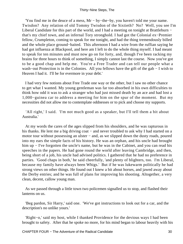'You find me in the deuce of a mess, Mr − by−the−by, you haven't told me your name. Twisdon? Any relation of old Tommy Twisdon of the Sixtieth? No? Well, you see I'm Liberal Candidate for this part of the world, and I had a meeting on tonight at Brattleburn − that's my chief town, and an infernal Tory stronghold. I had got the Colonial ex−Premier fellow, Crumpleton, coming to speak for me tonight, and had the thing tremendously billed and the whole place ground−baited. This afternoon I had a wire from the ruffian saying he had got influenza at Blackpool, and here am I left to do the whole thing myself. I had meant to speak for ten minutes and must now go on for forty, and, though I've been racking my brains for three hours to think of something, I simply cannot last the course. Now you've got to be a good chap and help me. You're a Free Trader and can tell our people what a wash−out Protection is in the Colonies. All you fellows have the gift of the gab − I wish to Heaven I had it. I'll be for evermore in your debt.'

 I had very few notions about Free Trade one way or the other, but I saw no other chance to get what I wanted. My young gentleman was far too absorbed in his own difficulties to think how odd it was to ask a stranger who had just missed death by an ace and had lost a 1,000−guinea car to address a meeting for him on the spur of the moment. But my necessities did not allow me to contemplate oddnesses or to pick and choose my supports.

 'All right,' I said. 'I'm not much good as a speaker, but I'll tell them a bit about Australia.'

 At my words the cares of the ages slipped from his shoulders, and he was rapturous in his thanks. He lent me a big driving coat – and never troubled to ask why I had started on a motor tour without possessing an ulster – and, as we slipped down the dusty roads, poured into my ears the simple facts of his history. He was an orphan, and his uncle had brought him up − I've forgotten the uncle's name, but he was in the Cabinet, and you can read his speeches in the papers. He had gone round the world after leaving Cambridge, and then, being short of a job, his uncle had advised politics. I gathered that he had no preference in parties. 'Good chaps in both,' he said cheerfully, 'and plenty of blighters, too. I'm Liberal, because my family have always been Whigs.' But if he was lukewarm politically he had strong views on other things. He found out I knew a bit about horses, and jawed away about the Derby entries; and he was full of plans for improving his shooting. Altogether, a very clean, decent, callow young man.

 As we passed through a little town two policemen signalled us to stop, and flashed their lanterns on us.

 'Beg pardon, Sir Harry,' said one. 'We've got instructions to look out for a car, and the description's no unlike yours.'

 'Right−o,' said my host, while I thanked Providence for the devious ways I had been brought to safety. After that he spoke no more, for his mind began to labour heavily with his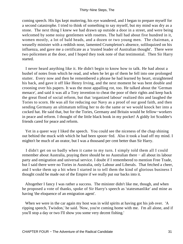coming speech. His lips kept muttering, his eye wandered, and I began to prepare myself for a second catastrophe. I tried to think of something to say myself, but my mind was dry as a stone. The next thing I knew we had drawn up outside a door in a street, and were being welcomed by some noisy gentlemen with rosettes. The hall had about five hundred in it, women mostly, a lot of bald heads, and a dozen or two young men. The chairman, a weaselly minister with a reddish nose, lamented Crumpleton's absence, soliloquized on his influenza, and gave me a certificate as a 'trusted leader of Australian thought'. There were two policemen at the door, and I hoped they took note of that testimonial. Then Sir Harry started.

 I never heard anything like it. He didn't begin to know how to talk. He had about a bushel of notes from which he read, and when he let go of them he fell into one prolonged stutter. Every now and then he remembered a phrase he had learned by heart, straightened his back, and gave it off like Henry Irving, and the next moment he was bent double and crooning over his papers. It was the most appalling rot, too. He talked about the 'German menace', and said it was all a Tory invention to cheat the poor of their rights and keep back the great flood of social reform, but that 'organized labour' realized this and laughed the Tories to scorn. He was all for reducing our Navy as a proof of our good faith, and then sending Germany an ultimatum telling her to do the same or we would knock her into a cocked hat. He said that, but for the Tories, Germany and Britain would be fellow−workers in peace and reform. I thought of the little black book in my pocket! A giddy lot Scudder's friends cared for peace and reform.

 Yet in a queer way I liked the speech. You could see the niceness of the chap shining out behind the muck with which he had been spoon−fed. Also it took a load off my mind. I mightn't be much of an orator, but I was a thousand per cent better than Sir Harry.

 I didn't get on so badly when it came to my turn. I simply told them all I could remember about Australia, praying there should be no Australian there − all about its labour party and emigration and universal service. I doubt if I remembered to mention Free Trade, but I said there were no Tories in Australia, only Labour and Liberals. That fetched a cheer, and I woke them up a bit when I started in to tell them the kind of glorious business I thought could be made out of the Empire if we really put our backs into it.

 Altogether I fancy I was rather a success. The minister didn't like me, though, and when he proposed a vote of thanks, spoke of Sir Harry's speech as 'statesmanlike' and mine as having 'the eloquence of an emigration agent'.

When we were in the car again my host was in wild spirits at having got his job over. 'A ripping speech, Twisdon,' he said. 'Now, you're coming home with me. I'm all alone, and if you'll stop a day or two I'll show you some very decent fishing.'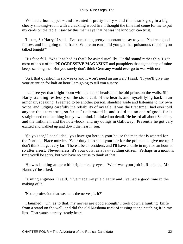We had a hot supper – and I wanted it pretty badly – and then drank grog in a big cheery smoking−room with a crackling wood fire. I thought the time had come for me to put my cards on the table. I saw by this man's eye that he was the kind you can trust.

 'Listen, Sir Harry,' I said. 'I've something pretty important to say to you. You're a good fellow, and I'm going to be frank. Where on earth did you get that poisonous rubbish you talked tonight?'

 His face fell. 'Was it as bad as that?' he asked ruefully. 'It did sound rather thin. I got most of it out of the **PROGRESSIVE MAGAZINE** and pamphlets that agent chap of mine keeps sending me. But you surely don't think Germany would ever go to war with us?'

 'Ask that question in six weeks and it won't need an answer,' I said. 'If you'll give me your attention for half an hour I am going to tell you a story.'

 I can see yet that bright room with the deers' heads and the old prints on the walls, Sir Harry standing restlessly on the stone curb of the hearth, and myself lying back in an armchair, speaking. I seemed to be another person, standing aside and listening to my own voice, and judging carefully the reliability of my tale. It was the first time I had ever told anyone the exact truth, so far as I understood it, and it did me no end of good, for it straightened out the thing in my own mind. I blinked no detail. He heard all about Scudder, and the milkman, and the note−book, and my doings in Galloway. Presently he got very excited and walked up and down the hearth−rug.

 'So you see,' I concluded, 'you have got here in your house the man that is wanted for the Portland Place murder. Your duty is to send your car for the police and give me up. I don't think I'll get very far. There'll be an accident, and I'll have a knife in my ribs an hour or so after arrest. Nevertheless, it's your duty, as a law−abiding citizen. Perhaps in a month's time you'll be sorry, but you have no cause to think of that.'

 He was looking at me with bright steady eyes. 'What was your job in Rhodesia, Mr Hannay?' he asked.

 'Mining engineer,' I said. 'I've made my pile cleanly and I've had a good time in the making of it.'

'Not a profession that weakens the nerves, is it?'

 I laughed. 'Oh, as to that, my nerves are good enough.' I took down a hunting−knife from a stand on the wall, and did the old Mashona trick of tossing it and catching it in my lips. That wants a pretty steady heart.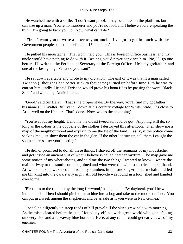He watched me with a smile. 'I don't want proof. I may be an ass on the platform, but I can size up a man. You're no murderer and you're no fool, and I believe you are speaking the truth. I'm going to back you up. Now, what can I do?'

 'First, I want you to write a letter to your uncle. I've got to get in touch with the Government people sometime before the 15th of June.'

 He pulled his moustache. 'That won't help you. This is Foreign Office business, and my uncle would have nothing to do with it. Besides, you'd never convince him. No, I'll go one better. I'll write to the Permanent Secretary at the Foreign Office. He's my godfather, and one of the best going. What do you want?'

 He sat down at a table and wrote to my dictation. The gist of it was that if a man called Twisdon (I thought I had better stick to that name) turned up before June 15th he was to entreat him kindly. He said Twisdon would prove his bona fides by passing the word 'Black Stone' and whistling 'Annie Laurie'.

 'Good,' said Sir Harry. 'That's the proper style. By the way, you'll find my godfather − his name's Sir Walter Bullivant − down at his country cottage for Whitsuntide. It's close to Artinswell on the Kenner. That's done. Now, what's the next thing?'

 'You're about my height. Lend me the oldest tweed suit you've got. Anything will do, so long as the colour is the opposite of the clothes I destroyed this afternoon. Then show me a map of the neighbourhood and explain to me the lie of the land. Lastly, if the police come seeking me, just show them the car in the glen. If the other lot turn up, tell them I caught the south express after your meeting.'

 He did, or promised to do, all these things. I shaved off the remnants of my moustache, and got inside an ancient suit of what I believe is called heather mixture. The map gave me some notion of my whereabouts, and told me the two things I wanted to know – where the main railway to the south could be joined and what were the wildest districts near at hand. At two o'clock he wakened me from my slumbers in the smoking−room armchair, and led me blinking into the dark starry night. An old bicycle was found in a tool−shed and handed over to me.

 'First turn to the right up by the long fir−wood,' he enjoined. 'By daybreak you'll be well into the hills. Then I should pitch the machine into a bog and take to the moors on foot. You can put in a week among the shepherds, and be as safe as if you were in New Guinea.'

 I pedalled diligently up steep roads of hill gravel till the skies grew pale with morning. As the mists cleared before the sun, I found myself in a wide green world with glens falling on every side and a far−away blue horizon. Here, at any rate, I could get early news of my enemies.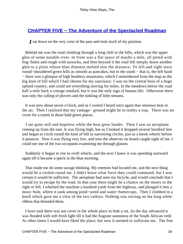## **[CHAPTER FIVE − The Adventure of the Spectacled Roadman](#page-87-0)**

*I* sat down on the very crest of the pass and took stock of my position.

 Behind me was the road climbing through a long cleft in the hills, which was the upper glen of some notable river. In front was a flat space of maybe a mile, all pitted with bog−holes and rough with tussocks, and then beyond it the road fell steeply down another glen to a plain whose blue dimness melted into the distance. To left and right were round−shouldered green hills as smooth as pancakes, but to the south − that is, the left hand − there was a glimpse of high heathery mountains, which I remembered from the map as the big knot of hill which I had chosen for my sanctuary. I was on the central boss of a huge upland country, and could see everything moving for miles. In the meadows below the road half a mile back a cottage smoked, but it was the only sign of human life. Otherwise there was only the calling of plovers and the tinkling of little streams.

 It was now about seven o'clock, and as I waited I heard once again that ominous beat in the air. Then I realized that my vantage− ground might be in reality a trap. There was no cover for a tomtit in those bald green places.

 I sat quite still and hopeless while the beat grew louder. Then I saw an aeroplane coming up from the east. It was flying high, but as I looked it dropped several hundred feet and began to circle round the knot of hill in narrowing circles, just as a hawk wheels before it pounces. Now it was flying very low, and now the observer on board caught sight of me. I could see one of the two occupants examining me through glasses.

 Suddenly it began to rise in swift whorls, and the next I knew it was speeding eastward again till it became a speck in the blue morning.

 That made me do some savage thinking. My enemies had located me, and the next thing would be a cordon round me. I didn't know what force they could command, but I was certain it would be sufficient. The aeroplane had seen my bicycle, and would conclude that I would try to escape by the road. In that case there might be a chance on the moors to the right or left. I wheeled the machine a hundred yards from the highway, and plunged it into a moss−hole, where it sank among pond−weed and water−buttercups. Then I climbed to a knoll which gave me a view of the two valleys. Nothing was stirring on the long white ribbon that threaded them.

 I have said there was not cover in the whole place to hide a rat. As the day advanced it was flooded with soft fresh light till it had the fragrant sunniness of the South African veld. At other times I would have liked the place, but now it seemed to suffocate me. The free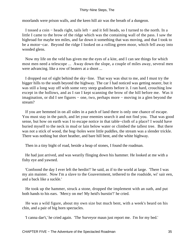moorlands were prison walls, and the keen hill air was the breath of a dungeon.

 I tossed a coin − heads right, tails left − and it fell heads, so I turned to the north. In a little I came to the brow of the ridge which was the containing wall of the pass. I saw the highroad for maybe ten miles, and far down it something that was moving, and that I took to be a motor−car. Beyond the ridge I looked on a rolling green moor, which fell away into wooded glens.

 Now my life on the veld has given me the eyes of a kite, and I can see things for which most men need a telescope ... Away down the slope, a couple of miles away, several men were advancing. like a row of beaters at a shoot ...

 I dropped out of sight behind the sky−line. That way was shut to me, and I must try the bigger hills to the south beyond the highway. The car I had noticed was getting nearer, but it was still a long way off with some very steep gradients before it. I ran hard, crouching low except in the hollows, and as I ran I kept scanning the brow of the hill before me. Was it imagination, or did I see figures − one, two, perhaps more − moving in a glen beyond the stream?

 If you are hemmed in on all sides in a patch of land there is only one chance of escape. You must stay in the patch, and let your enemies search it and not find you. That was good sense, but how on earth was I to escape notice in that table−cloth of a place? I would have buried myself to the neck in mud or lain below water or climbed the tallest tree. But there was not a stick of wood, the bog−holes were little puddles, the stream was a slender trickle. There was nothing but short heather, and bare hill bent, and the white highway.

Then in a tiny bight of road, beside a heap of stones, I found the roadman.

 He had just arrived, and was wearily flinging down his hammer. He looked at me with a fishy eye and yawned.

 'Confoond the day I ever left the herdin'!' he said, as if to the world at large. 'There I was my ain maister. Now I'm a slave to the Goavernment, tethered to the roadside, wi' sair een, and a back like a suckle.'

 He took up the hammer, struck a stone, dropped the implement with an oath, and put both hands to his ears. 'Mercy on me! My heid's burstin'!' he cried.

 He was a wild figure, about my own size but much bent, with a week's beard on his chin, and a pair of big horn spectacles.

'I canna dae't,' he cried again. 'The Surveyor maun just report me. I'm for my bed.'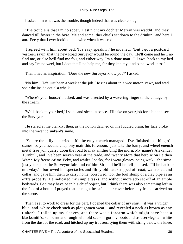I asked him what was the trouble, though indeed that was clear enough.

 'The trouble is that I'm no sober. Last nicht my dochter Merran was waddit, and they danced till fower in the byre. Me and some ither chiels sat down to the drinkin', and here I am. Peety that I ever lookit on the wine when it was red!'

 I agreed with him about bed. 'It's easy speakin',' he moaned. 'But I got a postcard yestreen sayin' that the new Road Surveyor would be round the day. He'll come and he'll no find me, or else he'll find me fou, and either way I'm a done man. I'll awa' back to my bed and say I'm no weel, but I doot that'll no help me, for they ken my kind o' no−weel−ness.'

Then I had an inspiration. 'Does the new Surveyor know you?' I asked.

 'No him. He's just been a week at the job. He rins about in a wee motor−cawr, and wad speir the inside oot o' a whelk.'

 'Where's your house?' I asked, and was directed by a wavering finger to the cottage by the stream.

 'Well, back to your bed,' I said, 'and sleep in peace. I'll take on your job for a bit and see the Surveyor.'

 He stared at me blankly; then, as the notion dawned on his fuddled brain, his face broke into the vacant drunkard's smile.

 'You're the billy,' he cried. 'It'll be easy eneuch managed. I've finished that bing o' stanes, so you needna chap ony mair this forenoon. just take the barry, and wheel eneuch metal frae yon quarry doon the road to mak anither bing the morn. My name's Alexander Turnbull, and I've been seeven year at the trade, and twenty afore that herdin' on Leithen Water. My freens ca' me Ecky, and whiles Specky, for I wear glesses, being waik i' the sicht. just you speak the Surveyor fair, and ca' him Sir, and he'll be fell pleased. I'll be back or mid−day.' I borrowed his spectacles and filthy old hat; stripped off coat, waistcoat, and collar, and gave him them to carry home; borrowed, too, the foul stump of a clay pipe as an extra property. He indicated my simple tasks, and without more ado set off at an amble bedwards. Bed may have been his chief object, but I think there was also something left in the foot of a bottle. I prayed that he might be safe under cover before my friends arrived on the scene.

Then I set to work to dress for the part. I opened the collar of my shirt – it was a vulgar blue−and−white check such as ploughmen wear − and revealed a neck as brown as any tinker's. I rolled up my sleeves, and there was a forearm which might have been a blacksmith's, sunburnt and rough with old scars. I got my boots and trouser−legs all white from the dust of the road, and hitched up my trousers, tying them with string below the knee.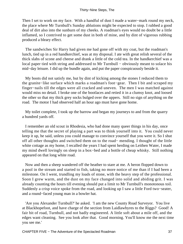Then I set to work on my face. With a handful of dust I made a water–mark round my neck, the place where Mr Turnbull's Sunday ablutions might be expected to stop. I rubbed a good deal of dirt also into the sunburn of my cheeks. A roadman's eyes would no doubt be a little inflamed, so I contrived to get some dust in both of mine, and by dint of vigorous rubbing produced a bleary effect.

 The sandwiches Sir Harry had given me had gone off with my coat, but the roadman's lunch, tied up in a red handkerchief, was at my disposal. I ate with great relish several of the thick slabs of scone and cheese and drank a little of the cold tea. In the handkerchief was a local paper tied with string and addressed to Mr Turnbull − obviously meant to solace his mid−day leisure. I did up the bundle again, and put the paper conspicuously beside it.

 My boots did not satisfy me, but by dint of kicking among the stones I reduced them to the granite−like surface which marks a roadman's foot−gear. Then I bit and scraped my finger−nails till the edges were all cracked and uneven. The men I was matched against would miss no detail. I broke one of the bootlaces and retied it in a clumsy knot, and loosed the other so that my thick grey socks bulged over the uppers. Still no sign of anything on the road. The motor I had observed half an hour ago must have gone home.

 My toilet complete, I took up the barrow and began my journeys to and from the quarry a hundred yards off.

 I remember an old scout in Rhodesia, who had done many queer things in his day, once telling me that the secret of playing a part was to think yourself into it. You could never keep it up, he said, unless you could manage to convince yourself that you were it. So I shut off all other thoughts and switched them on to the road− mending. I thought of the little white cottage as my home, I recalled the years I had spent herding on Leithen Water, I made my mind dwell lovingly on sleep in a box−bed and a bottle of cheap whisky. Still nothing appeared on that long white road.

 Now and then a sheep wandered off the heather to stare at me. A heron flopped down to a pool in the stream and started to fish, taking no more notice of me than if I had been a milestone. On I went, trundling my loads of stone, with the heavy step of the professional. Soon I grew warm, and the dust on my face changed into solid and abiding grit. I was already counting the hours till evening should put a limit to Mr Turnbull's monotonous toil. Suddenly a crisp voice spoke from the road, and looking up I saw a little Ford two−seater, and a round−faced young man in a bowler hat.

 'Are you Alexander Turnbull?' he asked. 'I am the new County Road Surveyor. You live at Blackhopefoot, and have charge of the section from Laidlawbyres to the Riggs? Good! A fair bit of road, Turnbull, and not badly engineered. A little soft about a mile off, and the edges want cleaning. See you look after that. Good morning. You'll know me the next time you see me.'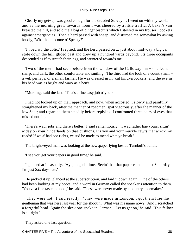Clearly my get−up was good enough for the dreaded Surveyor. I went on with my work, and as the morning grew towards noon I was cheered by a little traffic. A baker's van breasted the hill, and sold me a bag of ginger biscuits which I stowed in my trouser− pockets against emergencies. Then a herd passed with sheep, and disturbed me somewhat by asking loudly, 'What had become o' Specky?'

 'In bed wi' the colic,' I replied, and the herd passed on ... just about mid−day a big car stole down the hill, glided past and drew up a hundred yards beyond. Its three occupants descended as if to stretch their legs, and sauntered towards me.

 Two of the men I had seen before from the window of the Galloway inn − one lean, sharp, and dark, the other comfortable and smiling. The third had the look of a countryman – a vet, perhaps, or a small farmer. He was dressed in ill−cut knickerbockers, and the eye in his head was as bright and wary as a hen's.

"Morning,' said the last. 'That's a fine easy job o' yours.'

 I had not looked up on their approach, and now, when accosted, I slowly and painfully straightened my back, after the manner of roadmen; spat vigorously, after the manner of the low Scot; and regarded them steadily before replying. I confronted three pairs of eyes that missed nothing.

 'There's waur jobs and there's better,' I said sententiously. 'I wad rather hae yours, sittin' a' day on your hinderlands on thae cushions. It's you and your muckle cawrs that wreck my roads! If we a' had oor richts, ye sud be made to mend what ye break.'

The bright−eyed man was looking at the newspaper lying beside Turnbull's bundle.

'I see you get your papers in good time,' he said.

 I glanced at it casually. 'Aye, in gude time. Seein' that that paper cam' out last Setterday I'm just Sax days late.'

 He picked it up, glanced at the superscription, and laid it down again. One of the others had been looking at my boots, and a word in German called the speaker's attention to them. 'You've a fine taste in boots,' he said. 'These were never made by a country shoemaker.'

 'They were not,' I said readily. 'They were made in London. I got them frae the gentleman that was here last year for the shootin'. What was his name now?' And I scratched a forgetful head. Again the sleek one spoke in German. 'Let us get on,' he said. 'This fellow is all right.'

They asked one last question.

CHAPTER FIVE − The Adventure of the Spectacled Roadman 38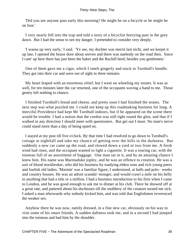'Did you see anyone pass early this morning? He might be on a bicycle or he might be on foot.'

 I very nearly fell into the trap and told a story of a bicyclist hurrying past in the grey dawn. But I had the sense to see my danger. I pretended to consider very deeply.

 'I wasna up very early,' I said. 'Ye see, my dochter was merrit last nicht, and we keepit it up late. I opened the house door about seeven and there was naebody on the road then. Since I cam' up here there has just been the baker and the Ruchill herd, besides you gentlemen.'

 One of them gave me a cigar, which I smelt gingerly and stuck in Turnbull's bundle. They got into their car and were out of sight in three minutes.

 My heart leaped with an enormous relief, but I went on wheeling my stones. It was as well, for ten minutes later the car returned, one of the occupants waving a hand to me. Those gentry left nothing to chance.

 I finished Turnbull's bread and cheese, and pretty soon I had finished the stones. The next step was what puzzled me. I could not keep up this roadmaking business for long. A merciful Providence had kept Mr Turnbull indoors, but if he appeared on the scene there would be trouble. I had a notion that the cordon was still tight round the glen, and that if I walked in any direction I should meet with questioners. But get out I must. No man's nerve could stand more than a day of being spied on.

 I stayed at my post till five o'clock. By that time I had resolved to go down to Turnbull's cottage at nightfall and take my chance of getting over the hills in the darkness. But suddenly a new car came up the road, and slowed down a yard or two from me. A fresh wind had risen, and the occupant wanted to light a cigarette. It was a touring car, with the tonneau full of an assortment of baggage. One man sat in it, and by an amazing chance I knew him. His name was Marmaduke jopley, and he was an offence to creation. He was a sort of blood stockbroker, who did his business by toadying eldest sons and rich young peers and foolish old ladies. 'Marmie' was a familiar figure, I understood, at balls and polo− weeks and country houses. He was an adroit scandal−monger, and would crawl a mile on his belly to anything that had a title or a million. I had a business introduction to his firm when I came to London, and he was good enough to ask me to dinner at his club. There he showed off at a great rate, and pattered about his duchesses till the snobbery of the creature turned me sick. I asked a man afterwards why nobody kicked him, and was told that Englishmen reverenced the weaker sex.

 Anyhow there he was now, nattily dressed, in a fine new car, obviously on his way to visit some of his smart friends. A sudden daftness took me, and in a second I had jumped into the tonneau and had him by the shoulder.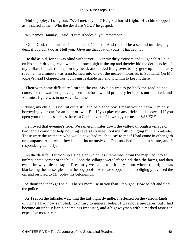'Hullo, jopley,' I sang out. 'Well met, my lad!' He got a horrid fright. His chin dropped as he stared at me. 'Who the devil are YOU?' he gasped.

'My name's Hannay,' I said. 'From Rhodesia, you remember.'

 'Good God, the murderer!' he choked. 'Just so. And there'll be a second murder, my dear, if you don't do as I tell you. Give me that coat of yours. That cap, too.'

 He did as bid, for he was blind with terror. Over my dirty trousers and vulgar shirt I put on his smart driving−coat, which buttoned high at the top and thereby hid the deficiencies of my collar. I stuck the cap on my head, and added his gloves to my get− up. The dusty roadman in a minute was transformed into one of the neatest motorists in Scotland. On Mr jopley's head I clapped Turnbull's unspeakable hat, and told him to keep it there.

 Then with some difficulty I turned the car. My plan was to go back the road he had come, for the watchers, having seen it before, would probably let it pass unremarked, and Marmie's figure was in no way like mine.

 'Now, my child,' I said, 'sit quite still and be a good boy. I mean you no harm. I'm only borrowing your car for an hour or two. But if you play me any tricks, and above all if you open your mouth, as sure as there's a God above me I'll wring your neck. SAVEZ?'

 I enjoyed that evening's ride. We ran eight miles down the valley, through a village or two, and I could not help noticing several strange−looking folk lounging by the roadside. These were the watchers who would have had much to say to me if I had come in other garb or company. As it was, they looked incuriously on. One touched his cap in salute, and I responded graciously.

 As the dark fell I turned up a side glen which, as I remember from the map, led into an unfrequented corner of the hills. Soon the villages were left behind, then the farms, and then even the wayside cottage. Presently we came to a lonely moor where the night was blackening the sunset gleam in the bog pools. Here we stopped, and I obligingly reversed the car and restored to Mr jopley his belongings.

 'A thousand thanks,' I said. 'There's more use in you than I thought. Now be off and find the police.'

 As I sat on the hillside, watching the tail−light dwindle, I reflected on the various kinds of crime I had now sampled. Contrary to general belief, I was not a murderer, but I had become an unholy liar, a shameless impostor, and a highwayman with a marked taste for expensive motor−cars.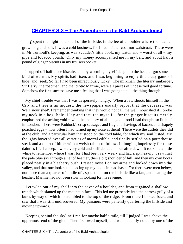# **CHAPTER SIX - The Adventure of the Bald Archaeologist**

*I* spent the night on a shelf of the hillside, in the lee of a boulder where the heather grew long and soft. It was a cold business, for I had neither coat nor waistcoat. These were in Mr Turnbull's keeping, as was Scudder's little book, my watch and − worst of all − my pipe and tobacco pouch. Only my money accompanied me in my belt, and about half a pound of ginger biscuits in my trousers pocket.

 I supped off half those biscuits, and by worming myself deep into the heather got some kind of warmth. My spirits had risen, and I was beginning to enjoy this crazy game of hide−and−seek. So far I had been miraculously lucky. The milkman, the literary innkeeper, Sir Harry, the roadman, and the idiotic Marmie, were all pieces of undeserved good fortune. Somehow the first success gave me a feeling that I was going to pull the thing through.

 My chief trouble was that I was desperately hungry. When a Jew shoots himself in the City and there is an inquest, the newspapers usually report that the deceased was 'well−nourished'. I remember thinking that they would not call me well−nourished if I broke my neck in a bog−hole. I lay and tortured myself − for the ginger biscuits merely emphasized the aching void – with the memory of all the good food I had thought so little of in London. There were Paddock's crisp sausages and fragrant shavings of bacon, and shapely poached eggs – how often I had turned up my nose at them! There were the cutlets they did at the club, and a particular ham that stood on the cold table, for which my soul lusted. My thoughts hovered over all varieties of mortal edible, and finally settled on a porterhouse steak and a quart of bitter with a welsh rabbit to follow. In longing hopelessly for these dainties I fell asleep. I woke very cold and stiff about an hour after dawn. It took me a little while to remember where I was, for I had been very weary and had slept heavily. I saw first the pale blue sky through a net of heather, then a big shoulder of hill, and then my own boots placed neatly in a blaeberry bush. I raised myself on my arms and looked down into the valley, and that one look set me lacing up my boots in mad haste. For there were men below, not more than a quarter of a mile off, spaced out on the hillside like a fan, and beating the heather. Marmie had not been slow in looking for his revenge.

 I crawled out of my shelf into the cover of a boulder, and from it gained a shallow trench which slanted up the mountain face. This led me presently into the narrow gully of a burn, by way of which I scrambled to the top of the ridge. From there I looked back, and saw that I was still undiscovered. My pursuers were patiently quartering the hillside and moving upwards.

 Keeping behind the skyline I ran for maybe half a mile, till I judged I was above the uppermost end of the glen. Then I showed myself, and was instantly noted by one of the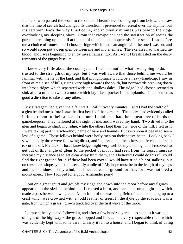flankers, who passed the word to the others. I heard cries coming up from below, and saw that the line of search had changed its direction. I pretended to retreat over the skyline, but instead went back the way I had come, and in twenty minutes was behind the ridge overlooking my sleeping place. From that viewpoint I had the satisfaction of seeing the pursuit streaming up the hill at the top of the glen on a hopelessly false scent. I had before me a choice of routes, and I chose a ridge which made an angle with the one I was on, and so would soon put a deep glen between me and my enemies. The exercise had warmed my blood, and I was beginning to enjoy myself amazingly. As I went I breakfasted on the dusty remnants of the ginger biscuits.

 I knew very little about the country, and I hadn't a notion what I was going to do. I trusted to the strength of my legs, but I was well aware that those behind me would be familiar with the lie of the land, and that my ignorance would be a heavy handicap. I saw in front of me a sea of hills, rising very high towards the south, but northwards breaking down into broad ridges which separated wide and shallow dales. The ridge I had chosen seemed to sink after a mile or two to a moor which lay like a pocket in the uplands. That seemed as good a direction to take as any other.

My stratagem had given me a fair start – call it twenty minutes – and I had the width of a glen behind me before I saw the first heads of the pursuers. The police had evidently called in local talent to their aid, and the men I could see had the appearance of herds or gamekeepers. They hallooed at the sight of me, and I waved my hand. Two dived into the glen and began to climb my ridge, while the others kept their own side of the hill. I felt as if I were taking part in a schoolboy game of hare and hounds. But very soon it began to seem less of a game. Those fellows behind were hefty men on their native heath. Looking back I saw that only three were following direct, and I guessed that the others had fetched a circuit to cut me off. My lack of local knowledge might very well be my undoing, and I resolved to get out of this tangle of glens to the pocket of moor I had seen from the tops. I must so increase my distance as to get clear away from them, and I believed I could do this if I could find the right ground for it. If there had been cover I would have tried a bit of stalking, but on these bare slopes you could see a fly a mile off. My hope must be in the length of my legs and the soundness of my wind, but I needed easier ground for that, for I was not bred a mountaineer. How I longed for a good Afrikander pony!

 I put on a great spurt and got off my ridge and down into the moor before any figures appeared on the skyline behind me. I crossed a burn, and came out on a highroad which made a pass between two glens. All in front of me was a big field of heather sloping up to a crest which was crowned with an odd feather of trees. In the dyke by the roadside was a gate, from which a grass− grown track led over the first wave of the moor.

 I jumped the dyke and followed it, and after a few hundred yards − as soon as it was out of sight of the highway – the grass stopped and it became a very respectable road, which was evidently kept with some care. Clearly it ran to a house, and I began to think of doing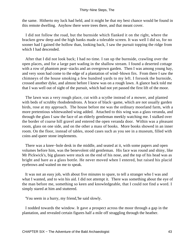the same. Hitherto my luck had held, and it might be that my best chance would be found in this remote dwelling. Anyhow there were trees there, and that meant cover.

 I did not follow the road, but the burnside which flanked it on the right, where the bracken grew deep and the high banks made a tolerable screen. It was well I did so, for no sooner had I gained the hollow than, looking back, I saw the pursuit topping the ridge from which I had descended.

 After that I did not look back; I had no time. I ran up the burnside, crawling over the open places, and for a large part wading in the shallow stream. I found a deserted cottage with a row of phantom peat−stacks and an overgrown garden. Then I was among young hay, and very soon had come to the edge of a plantation of wind−blown firs. From there I saw the chimneys of the house smoking a few hundred yards to my left. I forsook the burnside, crossed another dyke, and almost before I knew was on a rough lawn. A glance back told me that I was well out of sight of the pursuit, which had not yet passed the first lift of the moor.

 The lawn was a very rough place, cut with a scythe instead of a mower, and planted with beds of scrubby rhododendrons. A brace of black−game, which are not usually garden birds, rose at my approach. The house before me was the ordinary moorland farm, with a more pretentious whitewashed wing added. Attached to this wing was a glass veranda, and through the glass I saw the face of an elderly gentleman meekly watching me. I stalked over the border of coarse hill gravel and entered the open veranda door. Within was a pleasant room, glass on one side, and on the other a mass of books. More books showed in an inner room. On the floor, instead of tables, stood cases such as you see in a museum, filled with coins and queer stone implements.

 There was a knee−hole desk in the middle, and seated at it, with some papers and open volumes before him, was the benevolent old gentleman. His face was round and shiny, like Mr Pickwick's, big glasses were stuck on the end of his nose, and the top of his head was as bright and bare as a glass bottle. He never moved when I entered, but raised his placid eyebrows and waited on me to speak.

 It was not an easy job, with about five minutes to spare, to tell a stranger who I was and what I wanted, and to win his aid. I did not attempt it. There was something about the eye of the man before me, something so keen and knowledgeable, that I could not find a word. I simply stared at him and stuttered.

'You seem in a hurry, my friend,'he said slowly.

 I nodded towards the window. It gave a prospect across the moor through a gap in the plantation, and revealed certain figures half a mile off straggling through the heather.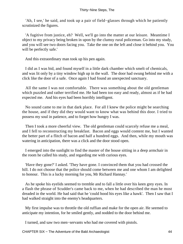'Ah, I see,' he said, and took up a pair of field−glasses through which he patiently scrutinized the figures.

 'A fugitive from justice, eh? Well, we'll go into the matter at our leisure. Meantime I object to my privacy being broken in upon by the clumsy rural policeman. Go into my study, and you will see two doors facing you. Take the one on the left and close it behind you. You will be perfectly safe.'

And this extraordinary man took up his pen again.

 I did as I was bid, and found myself in a little dark chamber which smelt of chemicals, and was lit only by a tiny window high up in the wall. The door had swung behind me with a click like the door of a safe. Once again I had found an unexpected sanctuary.

 All the same I was not comfortable. There was something about the old gentleman which puzzled and rather terrified me. He had been too easy and ready, almost as if he had expected me. And his eyes had been horribly intelligent.

 No sound came to me in that dark place. For all I knew the police might be searching the house, and if they did they would want to know what was behind this door. I tried to possess my soul in patience, and to forget how hungry I was.

 Then I took a more cheerful view. The old gentleman could scarcely refuse me a meal, and I fell to reconstructing my breakfast. Bacon and eggs would content me, but I wanted the better part of a flitch of bacon and half a hundred eggs. And then, while my mouth was watering in anticipation, there was a click and the door stood open.

 I emerged into the sunlight to find the master of the house sitting in a deep armchair in the room he called his study, and regarding me with curious eyes.

 'Have they gone?' I asked. 'They have gone. I convinced them that you had crossed the hill. I do not choose that the police should come between me and one whom I am delighted to honour. This is a lucky morning for you, Mr Richard Hannay.'

 As he spoke his eyelids seemed to tremble and to fall a little over his keen grey eyes. In a flash the phrase of Scudder's came back to me, when he had described the man he most dreaded in the world. He had said that he 'could hood his eyes like a hawk'. Then I saw that I had walked straight into the enemy's headquarters.

 My first impulse was to throttle the old ruffian and make for the open air. He seemed to anticipate my intention, for he smiled gently, and nodded to the door behind me.

I turned, and saw two men−servants who had me covered with pistols.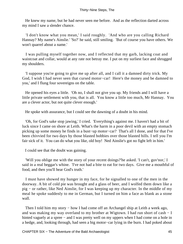He knew my name, but he had never seen me before. And as the reflection darted across my mind I saw a slender chance.

 'I don't know what you mean,' I said roughly. 'And who are you calling Richard Hannay? My name's Ainslie.' 'So?' he said, still smiling. 'But of course you have others. We won't quarrel about a name.'

 I was pulling myself together now, and I reflected that my garb, lacking coat and waistcoat and collar, would at any rate not betray me. I put on my surliest face and shrugged my shoulders.

 'I suppose you're going to give me up after all, and I call it a damned dirty trick. My God, I wish I had never seen that cursed motor−car! Here's the money and be damned to you,' and I flung four sovereigns on the table.

 He opened his eyes a little. 'Oh no, I shall not give you up. My friends and I will have a little private settlement with you, that is all. You know a little too much, Mr Hannay. You are a clever actor, but not quite clever enough.'

He spoke with assurance, but I could see the dawning of a doubt in his mind.

 'Oh, for God's sake stop jawing,' I cried. 'Everything's against me. I haven't had a bit of luck since I came on shore at Leith. What's the harm in a poor devil with an empty stomach picking up some money he finds in a bust−up motor−car? That's all I done, and for that I've been chivvied for two days by those blasted bobbies over those blasted hills. I tell you I'm fair sick of it. You can do what you like, old boy! Ned Ainslie's got no fight left in him.'

I could see that the doubt was gaining.

 'Will you oblige me with the story of your recent doings?'he asked. 'I can't, guv'nor,' I said in a real beggar's whine. 'I've not had a bite to eat for two days. Give me a mouthful of food, and then you'll hear God's truth.'

 I must have showed my hunger in my face, for he signalled to one of the men in the doorway. A bit of cold pie was brought and a glass of beer, and I wolfed them down like a pig − or rather, like Ned Ainslie, for I was keeping up my character. In the middle of my meal he spoke suddenly to me in German, but I turned on him a face as blank as a stone wall.

Then I told him my story – how I had come off an Archangel ship at Leith a week ago, and was making my way overland to my brother at Wigtown. I had run short of cash − I hinted vaguely at a spree − and I was pretty well on my uppers when I had come on a hole in a hedge, and, looking through, had seen a big motor−car lying in the burn. I had poked about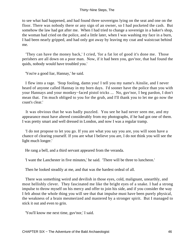to see what had happened, and had found three sovereigns lying on the seat and one on the floor. There was nobody there or any sign of an owner, so I had pocketed the cash. But somehow the law had got after me. When I had tried to change a sovereign in a baker's shop, the woman had cried on the police, and a little later, when I was washing my face in a burn, I had been nearly gripped, and had only got away by leaving my coat and waistcoat behind me.

 'They can have the money back,' I cried, 'for a fat lot of good it's done me. Those perishers are all down on a poor man. Now, if it had been you, guv'nor, that had found the quids, nobody would have troubled you.'

'You're a good liar, Hannay,' he said.

 I flew into a rage. 'Stop fooling, damn you! I tell you my name's Ainslie, and I never heard of anyone called Hannay in my born days. I'd sooner have the police than you with your Hannays and your monkey−faced pistol tricks ... No, guv'nor, I beg pardon, I don't mean that. I'm much obliged to you for the grub, and I'll thank you to let me go now the coast's clear.'

 It was obvious that he was badly puzzled. You see he had never seen me, and my appearance must have altered considerably from my photographs, if he had got one of them. I was pretty smart and well dressed in London, and now I was a regular tramp.

 'I do not propose to let you go. If you are what you say you are, you will soon have a chance of clearing yourself. If you are what I believe you are, I do not think you will see the light much longer.'

He rang a bell, and a third servant appeared from the veranda.

'I want the Lanchester in five minutes,' he said. 'There will be three to luncheon.'

Then he looked steadily at me, and that was the hardest ordeal of all.

 There was something weird and devilish in those eyes, cold, malignant, unearthly, and most hellishly clever. They fascinated me like the bright eyes of a snake. I had a strong impulse to throw myself on his mercy and offer to join his side, and if you consider the way I felt about the whole thing you will see that that impulse must have been purely physical, the weakness of a brain mesmerized and mastered by a stronger spirit. But I managed to stick it out and even to grin.

'You'll know me next time, guv'nor,' I said.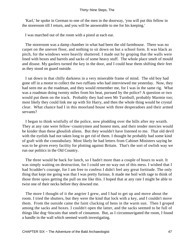'Karl,' he spoke in German to one of the men in the doorway, 'you will put this fellow in the storeroom till I return, and you will be answerable to me for his keeping.'

I was marched out of the room with a pistol at each ear.

 The storeroom was a damp chamber in what had been the old farmhouse. There was no carpet on the uneven floor, and nothing to sit down on but a school form. It was black as pitch, for the windows were heavily shuttered. I made out by groping that the walls were lined with boxes and barrels and sacks of some heavy stuff. The whole place smelt of mould and disuse. My gaolers turned the key in the door, and I could hear them shifting their feet as they stood on guard outside.

 I sat down in that chilly darkness in a very miserable frame of mind. The old boy had gone off in a motor to collect the two ruffians who had interviewed me yesterday. Now, they had seen me as the roadman, and they would remember me, for I was in the same rig. What was a roadman doing twenty miles from his beat, pursued by the police? A question or two would put them on the track. Probably they had seen Mr Turnbull, probably Marmie too; most likely they could link me up with Sir Harry, and then the whole thing would be crystal clear. What chance had I in this moorland house with three desperadoes and their armed servants?

 I began to think wistfully of the police, now plodding over the hills after my wraith. They at any rate were fellow−countrymen and honest men, and their tender mercies would be kinder than these ghoulish aliens. But they wouldn't have listened to me. That old devil with the eyelids had not taken long to get rid of them. I thought he probably had some kind of graft with the constabulary. Most likely he had letters from Cabinet Ministers saying he was to be given every facility for plotting against Britain. That's the sort of owlish way we run our politics in the Old Country.

 The three would be back for lunch, so I hadn't more than a couple of hours to wait. It was simply waiting on destruction, for I could see no way out of this mess. I wished that I had Scudder's courage, for I am free to confess I didn't feel any great fortitude. The only thing that kept me going was that I was pretty furious. It made me boil with rage to think of those three spies getting the pull on me like this. I hoped that at any rate I might be able to twist one of their necks before they downed me.

 The more I thought of it the angrier I grew, and I had to get up and move about the room. I tried the shutters, but they were the kind that lock with a key, and I couldn't move them. From the outside came the faint clucking of hens in the warm sun. Then I groped among the sacks and boxes. I couldn't open the latter, and the sacks seemed to be full of things like dog−biscuits that smelt of cinnamon. But, as I circumnavigated the room, I found a handle in the wall which seemed worth investigating.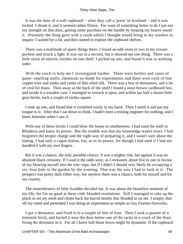It was the door of a wall cupboard − what they call a 'press' in Scotland − and it was locked. I shook it, and it seemed rather flimsy. For want of something better to do I put out my strength on that door, getting some purchase on the handle by looping my braces round it. Presently the thing gave with a crash which I thought would bring in my warders to inquire. I waited for a bit, and then started to explore the cupboard shelves.

 There was a multitude of queer things there. I found an odd vesta or two in my trouser pockets and struck a light. It was out in a second, but it showed me one thing. There was a little stock of electric torches on one shelf. I picked up one, and found it was in working order.

With the torch to help me I investigated further. There were bottles and cases of queer−smelling stuffs, chemicals no doubt for experiments, and there were coils of fine copper wire and yanks and yanks of thin oiled silk. There was a box of detonators, and a lot of cord for fuses. Then away at the back of the shelf I found a stout brown cardboard box, and inside it a wooden case. I managed to wrench it open, and within lay half a dozen little grey bricks, each a couple of inches square.

 I took up one, and found that it crumbled easily in my hand. Then I smelt it and put my tongue to it. After that I sat down to think. I hadn't been a mining engineer for nothing, and I knew lentonite when I saw it.

 With one of these bricks I could blow the house to smithereens. I had used the stuff in Rhodesia and knew its power. But the trouble was that my knowledge wasn't exact. I had forgotten the proper charge and the right way of preparing it, and I wasn't sure about the timing. I had only a vague notion, too, as to its power, for though I had used it I had not handled it with my own fingers.

 But it was a chance, the only possible chance. It was a mighty risk, but against it was an absolute black certainty. If I used it the odds were, as I reckoned, about five to one in favour of my blowing myself into the tree−tops; but if I didn't I should very likely be occupying a six−foot hole in the garden by the evening. That was the way I had to look at it. The prospect was pretty dark either way, but anyhow there was a chance, both for myself and for my country.

 The remembrance of little Scudder decided me. It was about the beastliest moment of my life, for I'm no good at these cold−blooded resolutions. Still I managed to rake up the pluck to set my teeth and choke back the horrid doubts that flooded in on me. I simply shut off my mind and pretended I was doing an experiment as simple as Guy Fawkes fireworks.

 I got a detonator, and fixed it to a couple of feet of fuse. Then I took a quarter of a lentonite brick, and buried it near the door below one of the sacks in a crack of the floor, fixing the detonator in it. For all I knew half those boxes might be dynamite. If the cupboard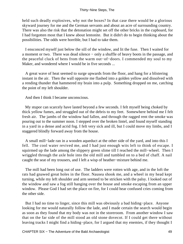held such deadly explosives, why not the boxes? In that case there would be a glorious skyward journey for me and the German servants and about an acre of surrounding country. There was also the risk that the detonation might set off the other bricks in the cupboard, for I had forgotten most that I knew about lentonite. But it didn't do to begin thinking about the possibilities. The odds were horrible, but I had to take them.

 I ensconced myself just below the sill of the window, and lit the fuse. Then I waited for a moment or two. There was dead silence − only a shuffle of heavy boots in the passage, and the peaceful cluck of hens from the warm out−of−doors. I commended my soul to my Maker, and wondered where I would be in five seconds ...

 A great wave of heat seemed to surge upwards from the floor, and hang for a blistering instant in the air. Then the wall opposite me flashed into a golden yellow and dissolved with a rending thunder that hammered my brain into a pulp. Something dropped on me, catching the point of my left shoulder.

And then I think I became unconscious.

 My stupor can scarcely have lasted beyond a few seconds. I felt myself being choked by thick yellow fumes, and struggled out of the debris to my feet. Somewhere behind me I felt fresh air. The jambs of the window had fallen, and through the ragged rent the smoke was pouring out to the summer noon. I stepped over the broken lintel, and found myself standing in a yard in a dense and acrid fog. I felt very sick and ill, but I could move my limbs, and I staggered blindly forward away from the house.

 A small mill−lade ran in a wooden aqueduct at the other side of the yard, and into this I fell. The cool water revived me, and I had just enough wits left to think of escape. I squirmed up the lade among the slippery green slime till I reached the mill−wheel. Then I wriggled through the axle hole into the old mill and tumbled on to a bed of chaff. A nail caught the seat of my trousers, and I left a wisp of heather−mixture behind me.

 The mill had been long out of use. The ladders were rotten with age, and in the loft the rats had gnawed great holes in the floor. Nausea shook me, and a wheel in my head kept turning, while my left shoulder and arm seemed to be stricken with the palsy. I looked out of the window and saw a fog still hanging over the house and smoke escaping from an upper window. Please God I had set the place on fire, for I could hear confused cries coming from the other side.

 But I had no time to linger, since this mill was obviously a bad hiding−place. Anyone looking for me would naturally follow the lade, and I made certain the search would begin as soon as they found that my body was not in the storeroom. From another window I saw that on the far side of the mill stood an old stone dovecot. If I could get there without leaving tracks I might find a hiding−place, for I argued that my enemies, if they thought I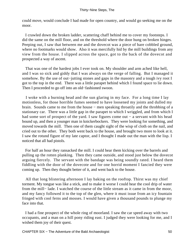could move, would conclude I had made for open country, and would go seeking me on the moor.

 I crawled down the broken ladder, scattering chaff behind me to cover my footsteps. I did the same on the mill floor, and on the threshold where the door hung on broken hinges. Peeping out, I saw that between me and the dovecot was a piece of bare cobbled ground, where no footmarks would show. Also it was mercifully hid by the mill buildings from any view from the house. I slipped across the space, got to the back of the dovecot and prospected a way of ascent.

 That was one of the hardest jobs I ever took on. My shoulder and arm ached like hell, and I was so sick and giddy that I was always on the verge of falling. But I managed it somehow. By the use of out−jutting stones and gaps in the masonry and a tough ivy root I got to the top in the end. There was a little parapet behind which I found space to lie down. Then I proceeded to go off into an old−fashioned swoon.

 I woke with a burning head and the sun glaring in my face. For a long time I lay motionless, for those horrible fumes seemed to have loosened my joints and dulled my brain. Sounds came to me from the house − men speaking throatily and the throbbing of a stationary car. There was a little gap in the parapet to which I wriggled, and from which I had some sort of prospect of the yard. I saw figures come out – a servant with his head bound up, and then a younger man in knickerbockers. They were looking for something, and moved towards the mill. Then one of them caught sight of the wisp of cloth on the nail, and cried out to the other. They both went back to the house, and brought two more to look at it. I saw the rotund figure of my late captor, and I thought I made out the man with the lisp. I noticed that all had pistols.

 For half an hour they ransacked the mill. I could hear them kicking over the barrels and pulling up the rotten planking. Then they came outside, and stood just below the dovecot arguing fiercely. The servant with the bandage was being soundly rated. I heard them fiddling with the door of the dovecote and for one horrid moment I fancied they were coming up. Then they thought better of it, and went back to the house.

 All that long blistering afternoon I lay baking on the rooftop. Thirst was my chief torment. My tongue was like a stick, and to make it worse I could hear the cool drip of water from the mill− lade. I watched the course of the little stream as it came in from the moor, and my fancy followed it to the top of the glen, where it must issue from an icy fountain fringed with cool ferns and mosses. I would have given a thousand pounds to plunge my face into that.

 I had a fine prospect of the whole ring of moorland. I saw the car speed away with two occupants, and a man on a hill pony riding east. I judged they were looking for me, and I wished them joy of their quest.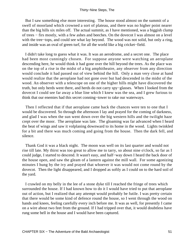But I saw something else more interesting. The house stood almost on the summit of a swell of moorland which crowned a sort of plateau, and there was no higher point nearer than the big hills six miles off. The actual summit, as I have mentioned, was a biggish clump of trees − firs mostly, with a few ashes and beeches. On the dovecot I was almost on a level with the tree−tops, and could see what lay beyond. The wood was not solid, but only a ring, and inside was an oval of green turf, for all the world like a big cricket−field.

 I didn't take long to guess what it was. It was an aerodrome, and a secret one. The place had been most cunningly chosen. For suppose anyone were watching an aeroplane descending here, he would think it had gone over the hill beyond the trees. As the place was on the top of a rise in the midst of a big amphitheatre, any observer from any direction would conclude it had passed out of view behind the hill. Only a man very close at hand would realize that the aeroplane had not gone over but had descended in the midst of the wood. An observer with a telescope on one of the higher hills might have discovered the truth, but only herds went there, and herds do not carry spy−glasses. When I looked from the dovecot I could see far away a blue line which I knew was the sea, and I grew furious to think that our enemies had this secret conning−tower to rake our waterways.

 Then I reflected that if that aeroplane came back the chances were ten to one that I would be discovered. So through the afternoon I lay and prayed for the coming of darkness, and glad I was when the sun went down over the big western hills and the twilight haze crept over the moor. The aeroplane was late. The gloaming was far advanced when I heard the beat of wings and saw it volplaning downward to its home in the wood. Lights twinkled for a bit and there was much coming and going from the house. Then the dark fell, and silence.

 Thank God it was a black night. The moon was well on its last quarter and would not rise till late. My thirst was too great to allow me to tarry, so about nine o'clock, so far as I could judge, I started to descend. It wasn't easy, and half−way down I heard the back door of the house open, and saw the gleam of a lantern against the mill wall. For some agonizing minutes I hung by the ivy and prayed that whoever it was would not come round by the dovecot. Then the light disappeared, and I dropped as softly as I could on to the hard soil of the yard.

 I crawled on my belly in the lee of a stone dyke till I reached the fringe of trees which surrounded the house. If I had known how to do it I would have tried to put that aeroplane out of action, but I realized that any attempt would probably be futile. I was pretty certain that there would be some kind of defence round the house, so I went through the wood on hands and knees, feeling carefully every inch before me. It was as well, for presently I came on a wire about two feet from the ground. If I had tripped over that, it would doubtless have rung some bell in the house and I would have been captured.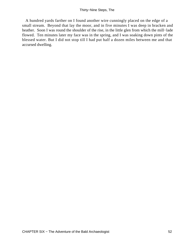A hundred yards farther on I found another wire cunningly placed on the edge of a small stream. Beyond that lay the moor, and in five minutes I was deep in bracken and heather. Soon I was round the shoulder of the rise, in the little glen from which the mill−lade flowed. Ten minutes later my face was in the spring, and I was soaking down pints of the blessed water. But I did not stop till I had put half a dozen miles between me and that accursed dwelling.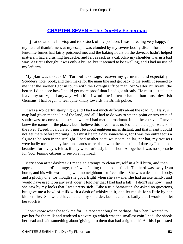## **[CHAPTER SEVEN − The Dry−Fly Fisherman](#page-87-0)**

*I* sat down on a hill−top and took stock of my position. I wasn't feeling very happy, for my natural thankfulness at my escape was clouded by my severe bodily discomfort. Those lentonite fumes had fairly poisoned me, and the baking hours on the dovecot hadn't helped matters. I had a crushing headache, and felt as sick as a cat. Also my shoulder was in a bad way. At first I thought it was only a bruise, but it seemed to be swelling, and I had no use of my left arm.

 My plan was to seek Mr Turnbull's cottage, recover my garments, and especially Scudder's note−book, and then make for the main line and get back to the south. It seemed to me that the sooner I got in touch with the Foreign Office man, Sir Walter Bullivant, the better. I didn't see how I could get more proof than I had got already. He must just take or leave my story, and anyway, with him I would be in better hands than those devilish Germans. I had begun to feel quite kindly towards the British police.

 It was a wonderful starry night, and I had not much difficulty about the road. Sir Harry's map had given me the lie of the land, and all I had to do was to steer a point or two west of south−west to come to the stream where I had met the roadman. In all these travels I never knew the names of the places, but I believe this stream was no less than the upper waters of the river Tweed. I calculated I must be about eighteen miles distant, and that meant I could not get there before morning. So I must lie up a day somewhere, for I was too outrageous a figure to be seen in the sunlight. I had neither coat, waistcoat, collar, nor hat, my trousers were badly torn, and my face and hands were black with the explosion. I daresay I had other beauties, for my eyes felt as if they were furiously bloodshot. Altogether I was no spectacle for God−fearing citizens to see on a highroad.

 Very soon after daybreak I made an attempt to clean myself in a hill burn, and then approached a herd's cottage, for I was feeling the need of food. The herd was away from home, and his wife was alone, with no neighbour for five miles. She was a decent old body, and a plucky one, for though she got a fright when she saw me, she had an axe handy, and would have used it on any evil−doer. I told her that I had had a fall − I didn't say how − and she saw by my looks that I was pretty sick. Like a true Samaritan she asked no questions, but gave me a bowl of milk with a dash of whisky in it, and let me sit for a little by her kitchen fire. She would have bathed my shoulder, but it ached so badly that I would not let her touch it.

 I don't know what she took me for − a repentant burglar, perhaps; for when I wanted to pay her for the milk and tendered a sovereign which was the smallest coin I had, she shook her head and said something about 'giving it to them that had a right to it'. At this I protested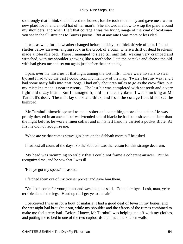so strongly that I think she believed me honest, for she took the money and gave me a warm new plaid for it, and an old hat of her man's. She showed me how to wrap the plaid around my shoulders, and when I left that cottage I was the living image of the kind of Scotsman you see in the illustrations to Burns's poems. But at any rate I was more or less clad.

 It was as well, for the weather changed before midday to a thick drizzle of rain. I found shelter below an overhanging rock in the crook of a burn, where a drift of dead brackens made a tolerable bed. There I managed to sleep till nightfall, waking very cramped and wretched, with my shoulder gnawing like a toothache. I ate the oatcake and cheese the old wife had given me and set out again just before the darkening.

 I pass over the miseries of that night among the wet hills. There were no stars to steer by, and I had to do the best I could from my memory of the map. Twice I lost my way, and I had some nasty falls into peat−bogs. I had only about ten miles to go as the crow flies, but my mistakes made it nearer twenty. The last bit was completed with set teeth and a very light and dizzy head. But I managed it, and in the early dawn I was knocking at Mr Turnbull's door. The mist lay close and thick, and from the cottage I could not see the highroad.

 Mr Turnbull himself opened to me − sober and something more than sober. He was primly dressed in an ancient but well−tended suit of black; he had been shaved not later than the night before; he wore a linen collar; and in his left hand he carried a pocket Bible. At first he did not recognize me.

'Whae are ye that comes stravaigin' here on the Sabbath mornin'?' he asked.

I had lost all count of the days. So the Sabbath was the reason for this strange decorum.

 My head was swimming so wildly that I could not frame a coherent answer. But he recognized me, and he saw that I was ill.

'Hae ye got my specs?' he asked.

I fetched them out of my trouser pocket and gave him them.

 'Ye'll hae come for your jaicket and westcoat,' he said. 'Come in− bye. Losh, man, ye're terrible dune i' the legs. Haud up till I get ye to a chair.'

 I perceived I was in for a bout of malaria. I had a good deal of fever in my bones, and the wet night had brought it out, while my shoulder and the effects of the fumes combined to make me feel pretty bad. Before I knew, Mr Turnbull was helping me off with my clothes, and putting me to bed in one of the two cupboards that lined the kitchen walls.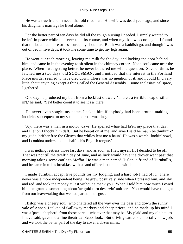He was a true friend in need, that old roadman. His wife was dead years ago, and since his daughter's marriage he lived alone.

 For the better part of ten days he did all the rough nursing I needed. I simply wanted to be left in peace while the fever took its course, and when my skin was cool again I found that the bout had more or less cured my shoulder. But it was a baddish go, and though I was out of bed in five days, it took me some time to get my legs again.

 He went out each morning, leaving me milk for the day, and locking the door behind him; and came in in the evening to sit silent in the chimney corner. Not a soul came near the place. When I was getting better, he never bothered me with a question. Several times he fetched me a two days' old **SCOTSMAN,** and I noticed that the interest in the Portland Place murder seemed to have died down. There was no mention of it, and I could find very little about anything except a thing called the General Assembly − some ecclesiastical spree, I gathered.

 One day he produced my belt from a lockfast drawer. 'There's a terrible heap o' siller in't,' he said. 'Ye'd better coont it to see it's a' there.'

 He never even sought my name. I asked him if anybody had been around making inquiries subsequent to my spell at the road−making.

 'Ay, there was a man in a motor−cawr. He speired whae had ta'en my place that day, and I let on I thocht him daft. But he keepit on at me, and syne I said he maun be thinkin' o' my gude−brither frae the Cleuch that whiles lent me a haun'. He was a wersh−lookin' sowl, and I couldna understand the half o' his English tongue.'

 I was getting restless those last days, and as soon as I felt myself fit I decided to be off. That was not till the twelfth day of June, and as luck would have it a drover went past that morning taking some cattle to Moffat. He was a man named Hislop, a friend of Turnbull's, and he came in to his breakfast with us and offered to take me with him.

 I made Turnbull accept five pounds for my lodging, and a hard job I had of it. There never was a more independent being. He grew positively rude when I pressed him, and shy and red, and took the money at last without a thank you. When I told him how much I owed him, he grunted something about 'ae guid turn deservin' anither'. You would have thought from our leave−taking that we had parted in disgust.

 Hislop was a cheery soul, who chattered all the way over the pass and down the sunny vale of Annan. I talked of Galloway markets and sheep prices, and he made up his mind I was a 'pack−shepherd' from those parts − whatever that may be. My plaid and my old hat, as I have said, gave me a fine theatrical Scots look. But driving cattle is a mortally slow job, and we took the better part of the day to cover a dozen miles.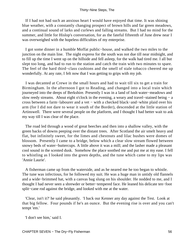If I had not had such an anxious heart I would have enjoyed that time. It was shining blue weather, with a constantly changing prospect of brown hills and far green meadows, and a continual sound of larks and curlews and falling streams. But I had no mind for the summer, and little for Hislop's conversation, for as the fateful fifteenth of June drew near I was overweighed with the hopeless difficulties of my enterprise.

 I got some dinner in a humble Moffat public−house, and walked the two miles to the junction on the main line. The night express for the south was not due till near midnight, and to fill up the time I went up on the hillside and fell asleep, for the walk had tired me. I all but slept too long, and had to run to the station and catch the train with two minutes to spare. The feel of the hard third−class cushions and the smell of stale tobacco cheered me up wonderfully. At any rate, I felt now that I was getting to grips with my job.

 I was decanted at Crewe in the small hours and had to wait till six to get a train for Birmingham. In the afternoon I got to Reading, and changed into a local train which journeyed into the deeps of Berkshire. Presently I was in a land of lush water−meadows and slow reedy streams. About eight o'clock in the evening, a weary and travel−stained being − a cross between a farm−labourer and a vet − with a checked black−and−white plaid over his arm (for I did not dare to wear it south of the Border), descended at the little station of Artinswell. There were several people on the platform, and I thought I had better wait to ask my way till I was clear of the place.

 The road led through a wood of great beeches and then into a shallow valley, with the green backs of downs peeping over the distant trees. After Scotland the air smelt heavy and flat, but infinitely sweet, for the limes and chestnuts and lilac bushes were domes of blossom. Presently I came to a bridge, below which a clear slow stream flowed between snowy beds of water−buttercups. A little above it was a mill; and the lasher made a pleasant cool sound in the scented dusk. Somehow the place soothed me and put me at my ease. I fell to whistling as I looked into the green depths, and the tune which came to my lips was 'Annie Laurie'.

 A fisherman came up from the waterside, and as he neared me he too began to whistle. The tune was infectious, for he followed my suit. He was a huge man in untidy old flannels and a wide−brimmed hat, with a canvas bag slung on his shoulder. He nodded to me, and I thought I had never seen a shrewder or better−tempered face. He leaned his delicate ten−foot split−cane rod against the bridge, and looked with me at the water.

 'Clear, isn't it?' he said pleasantly. 'I back our Kenner any day against the Test. Look at that big fellow. Four pounds if he's an ounce. But the evening rise is over and you can't tempt 'em.'

'I don't see him,' said I.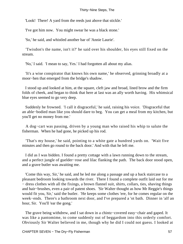'Look! There! A yard from the reeds just above that stickle.'

'I've got him now. You might swear he was a black stone.'

'So,' he said, and whistled another bar of 'Annie Laurie'.

 'Twisdon's the name, isn't it?' he said over his shoulder, his eyes still fixed on the stream.

'No,' I said. 'I mean to say, Yes.' I had forgotten all about my alias.

 'It's a wise conspirator that knows his own name,' he observed, grinning broadly at a moor−hen that emerged from the bridge's shadow.

 I stood up and looked at him, at the square, cleft jaw and broad, lined brow and the firm folds of cheek, and began to think that here at last was an ally worth having. His whimsical blue eyes seemed to go very deep.

 Suddenly he frowned. 'I call it disgraceful,' he said, raising his voice. 'Disgraceful that an able−bodied man like you should dare to beg. You can get a meal from my kitchen, but you'll get no money from me.'

 A dog−cart was passing, driven by a young man who raised his whip to salute the fisherman. When he had gone, he picked up his rod.

 'That's my house,' he said, pointing to a white gate a hundred yards on. 'Wait five minutes and then go round to the back door.' And with that he left me.

 I did as I was bidden. I found a pretty cottage with a lawn running down to the stream, and a perfect jungle of guelder−rose and lilac flanking the path. The back door stood open, and a grave butler was awaiting me.

 'Come this way, Sir,' he said, and he led me along a passage and up a back staircase to a pleasant bedroom looking towards the river. There I found a complete outfit laid out for me − dress clothes with all the fixings, a brown flannel suit, shirts, collars, ties, shaving things and hair−brushes, even a pair of patent shoes. 'Sir Walter thought as how Mr Reggie's things would fit you, Sir,' said the butler. 'He keeps some clothes 'ere, for he comes regular on the week−ends. There's a bathroom next door, and I've prepared a 'ot bath. Dinner in 'alf an hour, Sir. You'll 'ear the gong.'

The grave being withdrew, and I sat down in a chintz–covered easy–chair and gaped. It was like a pantomime, to come suddenly out of beggardom into this orderly comfort. Obviously Sir Walter believed in me, though why he did I could not guess. I looked at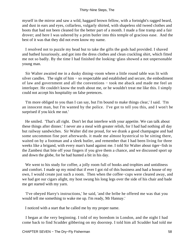myself in the mirror and saw a wild, haggard brown fellow, with a fortnight's ragged beard, and dust in ears and eyes, collarless, vulgarly shirted, with shapeless old tweed clothes and boots that had not been cleaned for the better part of a month. I made a fine tramp and a fair drover; and here I was ushered by a prim butler into this temple of gracious ease. And the best of it was that they did not even know my name.

 I resolved not to puzzle my head but to take the gifts the gods had provided. I shaved and bathed luxuriously, and got into the dress clothes and clean crackling shirt, which fitted me not so badly. By the time I had finished the looking−glass showed a not unpersonable young man.

 Sir Walter awaited me in a dusky dining−room where a little round table was lit with silver candles. The sight of him – so respectable and established and secure, the embodiment of law and government and all the conventions − took me aback and made me feel an interloper. He couldn't know the truth about me, or he wouldn't treat me like this. I simply could not accept his hospitality on false pretences.

 'I'm more obliged to you than I can say, but I'm bound to make things clear,' I said. 'I'm an innocent man, but I'm wanted by the police. I've got to tell you this, and I won't be surprised if you kick me out.'

 He smiled. 'That's all right. Don't let that interfere with your appetite. We can talk about these things after dinner.' I never ate a meal with greater relish, for I had had nothing all day but railway sandwiches. Sir Walter did me proud, for we drank a good champagne and had some uncommon fine port afterwards. it made me almost hysterical to be sitting there, waited on by a footman and a sleek butler, and remember that I had been living for three weeks like a brigand, with every man's hand against me. I told Sir Walter about tiger−fish in the Zambesi that bite off your fingers if you give them a chance, and we discussed sport up and down the globe, for he had hunted a bit in his day.

We went to his study for coffee, a jolly room full of books and trophies and untidiness and comfort. I made up my mind that if ever I got rid of this business and had a house of my own, I would create just such a room. Then when the coffee−cups were cleared away, and we had got our cigars alight, my host swung his long legs over the side of his chair and bade me get started with my yarn.

 'I've obeyed Harry's instructions,' he said, 'and the bribe he offered me was that you would tell me something to wake me up. I'm ready, Mr Hannay.'

I noticed with a start that he called me by my proper name.

 I began at the very beginning. I told of my boredom in London, and the night I had come back to find Scudder gibbering on my doorstep. I told him all Scudder had told me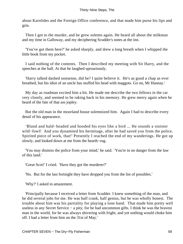about Karolides and the Foreign Office conference, and that made him purse his lips and grin.

 Then I got to the murder, and he grew solemn again. He heard all about the milkman and my time in Galloway, and my deciphering Scudder's notes at the inn.

 'You've got them here?' he asked sharply, and drew a long breath when I whipped the little book from my pocket.

 I said nothing of the contents. Then I described my meeting with Sir Harry, and the speeches at the hall. At that he laughed uproariously.

 'Harry talked dashed nonsense, did he? I quite believe it. He's as good a chap as ever breathed, but his idiot of an uncle has stuffed his head with maggots. Go on, Mr Hannay.'

 My day as roadman excited him a bit. He made me describe the two fellows in the car very closely, and seemed to be raking back in his memory. He grew merry again when he heard of the fate of that ass jopley.

 But the old man in the moorland house solemnized him. Again I had to describe every detail of his appearance.

 'Bland and bald−headed and hooded his eyes like a bird ... He sounds a sinister wild−fowl! And you dynamited his hermitage, after he had saved you from the police. Spirited piece of work, that!' Presently I reached the end of my wanderings. He got up slowly, and looked down at me from the hearth−rug.

 'You may dismiss the police from your mind,' he said. 'You're in no danger from the law of this land.'

'Great Scot!' I cried. 'Have they got the murderer?'

'No. But for the last fortnight they have dropped you from the list of possibles.'

'Why?' I asked in amazement.

 'Principally because I received a letter from Scudder. I knew something of the man, and he did several jobs for me. He was half crank, half genius, but he was wholly honest. The trouble about him was his partiality for playing a lone hand. That made him pretty well useless in any Secret Service − a pity, for he had uncommon gifts. I think he was the bravest man in the world, for he was always shivering with fright, and yet nothing would choke him off. I had a letter from him on the 31st of May.'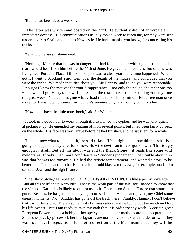'But he had been dead a week by then.'

 'The letter was written and posted on the 23rd. He evidently did not anticipate an immediate decease. His communications usually took a week to reach me, for they were sent under cover to Spain and then to Newcastle. He had a mania, you know, for concealing his tracks.'

'What did he say?' I stammered.

 'Nothing. Merely that he was in danger, but had found shelter with a good friend, and that I would hear from him before the 15th of June. He gave me no address, but said he was living near Portland Place. I think his object was to clear you if anything happened. When I got it I went to Scotland Yard, went over the details of the inquest, and concluded that you were the friend. We made inquiries about you, Mr Hannay, and found you were respectable. I thought I knew the motives for your disappearance − not only the police, the other one too − and when I got Harry's scrawl I guessed at the rest. I have been expecting you any time this past week.' You can imagine what a load this took off my mind. I felt a free man once more, for I was now up against my country's enemies only, and not my country's law.

'Now let us have the little note−book,' said Sir Walter.

 It took us a good hour to work through it. I explained the cypher, and he was jolly quick at picking it up. He emended my reading of it on several points, but I had been fairly correct, on the whole. His face was very grave before he had finished, and he sat silent for a while.

 'I don't know what to make of it,' he said at last. 'He is right about one thing − what is going to happen the day after tomorrow. How the devil can it have got known? That is ugly enough in itself. But all this about war and the Black Stone − it reads like some wild melodrama. If only I had more confidence in Scudder's judgement. The trouble about him was that he was too romantic. He had the artistic temperament, and wanted a story to be better than God meant it to be. He had a lot of odd biases, too. Jews, for example, made him see red. Jews and the high finance.

 'The Black Stone,' he repeated. 'DER **SCHWARZE STEIN.** It's like a penny novelette. And all this stuff about Karolides. That is the weak part of the tale, for I happen to know that the virtuous Karolides is likely to outlast us both. There is no State in Europe that wants him gone. Besides, he has just been playing up to Berlin and Vienna and giving my Chief some uneasy moments. No! Scudder has gone off the track there. Frankly, Hannay, I don't believe that part of his story. There's some nasty business afoot, and he found out too much and lost his life over it. But I am ready to take my oath that it is ordinary spy work. A certain great European Power makes a hobby of her spy system, and her methods are not too particular. Since she pays by piecework her blackguards are not likely to stick at a murder or two. They want our naval dispositions for their collection at the Marineamt; but they will be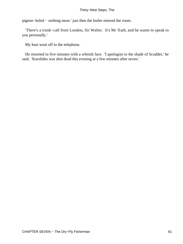pigeon−holed − nothing more.' just then the butler entered the room.

 'There's a trunk−call from London, Sir Walter. It's Mr 'Eath, and he wants to speak to you personally.'

My host went off to the telephone.

 He returned in five minutes with a whitish face. 'I apologize to the shade of Scudder,' he said. 'Karolides was shot dead this evening at a few minutes after seven.'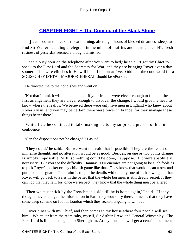# **[CHAPTER EIGHT − The Coming of the Black Stone](#page-87-0)**

*I* came down to breakfast next morning, after eight hours of blessed dreamless sleep, to find Sir Walter decoding a telegram in the midst of muffins and marmalade. His fresh rosiness of yesterday seemed a thought tarnished.

 'I had a busy hour on the telephone after you went to bed,' he said. 'I got my Chief to speak to the First Lord and the Secretary for War, and they are bringing Royer over a day sooner. This wire clinches it. He will be in London at five. Odd that the code word for a SOUS−CHEF D/ETAT MAJOR−GENERAL should be «Porker».'

He directed me to the hot dishes and went on.

 'Not that I think it will do much good. If your friends were clever enough to find out the first arrangement they are clever enough to discover the change. I would give my head to know where the leak is. We believed there were only five men in England who knew about Royer's visit, and you may be certain there were fewer in France, for they manage these things better there.'

 While I ate he continued to talk, making me to my surprise a present of his full confidence.

'Can the dispositions not be changed?' I asked.

 'They could,' he said. 'But we want to avoid that if possible. They are the result of immense thought, and no alteration would be as good. Besides, on one or two points change is simply impossible. Still, something could be done, I suppose, if it were absolutely necessary. But you see the difficulty, Hannay. Our enemies are not going to be such fools as to pick Royer's pocket or any childish game like that. They know that would mean a row and put us on our guard. Their aim is to get the details without any one of us knowing, so that Royer will go back to Paris in the belief that the whole business is still deadly secret. If they can't do that they fail, for, once we suspect, they know that the whole thing must be altered.'

 'Then we must stick by the Frenchman's side till he is home again,' I said. 'If they thought they could get the information in Paris they would try there. It means that they have some deep scheme on foot in London which they reckon is going to win out.'

 'Royer dines with my Chief, and then comes to my house where four people will see him − Whittaker from the Admiralty, myself, Sir Arthur Drew, and General Winstanley. The First Lord is ill, and has gone to Sheringham. At my house he will get a certain document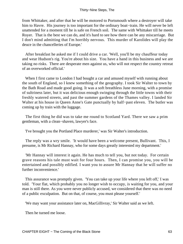from Whittaker, and after that he will be motored to Portsmouth where a destroyer will take him to Havre. His journey is too important for the ordinary boat−train. He will never be left unattended for a moment till he is safe on French soil. The same with Whittaker till he meets Royer. That is the best we can do, and it's hard to see how there can be any miscarriage. But I don't mind admitting that I'm horribly nervous. This murder of Karolides will play the deuce in the chancelleries of Europe.'

 After breakfast he asked me if I could drive a car. 'Well, you'll be my chauffeur today and wear Hudson's rig. You're about his size. You have a hand in this business and we are taking no risks. There are desperate men against us, who will not respect the country retreat of an overworked official.'

When I first came to London I had bought a car and amused myself with running about the south of England, so I knew something of the geography. I took Sir Walter to town by the Bath Road and made good going. It was a soft breathless June morning, with a promise of sultriness later, but it was delicious enough swinging through the little towns with their freshly watered streets, and past the summer gardens of the Thames valley. I landed Sir Walter at his house in Queen Anne's Gate punctually by half−past eleven. The butler was coming up by train with the luggage.

 The first thing he did was to take me round to Scotland Yard. There we saw a prim gentleman, with a clean−shaven, lawyer's face.

'I've brought you the Portland Place murderer,' was Sir Walter's introduction.

 The reply was a wry smile. 'It would have been a welcome present, Bullivant. This, I presume, is Mr Richard Hannay, who for some days greatly interested my department.'

 'Mr Hannay will interest it again. He has much to tell you, but not today. For certain grave reasons his tale must wait for four hours. Then, I can promise you, you will be entertained and possibly edified. I want you to assure Mr Hannay that he will suffer no further inconvenience.'

 This assurance was promptly given. 'You can take up your life where you left off,' I was told. 'Your flat, which probably you no longer wish to occupy, is waiting for you, and your man is still there. As you were never publicly accused, we considered that there was no need of a public exculpation. But on that, of course, you must please yourself.'

'We may want your assistance later on, MacGillivray,' Sir Walter said as we left.

Then he turned me loose.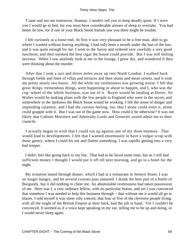'Come and see me tomorrow, Hannay. I needn't tell you to keep deadly quiet. If I were you I would go to bed, for you must have considerable arrears of sleep to overtake. You had better lie low, for if one of your Black Stone friends saw you there might be trouble.'

 I felt curiously at a loose end. At first it was very pleasant to be a free man, able to go where I wanted without fearing anything. I had only been a month under the ban of the law, and it was quite enough for me. I went to the Savoy and ordered very carefully a very good luncheon, and then smoked the best cigar the house could provide. But I was still feeling nervous. When I saw anybody look at me in the lounge, I grew shy, and wondered if they were thinking about the murder.

 After that I took a taxi and drove miles away up into North London. I walked back through fields and lines of villas and terraces and then slums and mean streets, and it took me pretty nearly two hours. All the while my restlessness was growing worse. I felt that great things, tremendous things, were happening or about to happen, and I, who was the cog−wheel of the whole business, was out of it. Royer would be landing at Dover, Sir Walter would be making plans with the few people in England who were in the secret, and somewhere in the darkness the Black Stone would be working. I felt the sense of danger and impending calamity, and I had the curious feeling, too, that I alone could avert it, alone could grapple with it. But I was out of the game now. How could it be otherwise? It was not likely that Cabinet Ministers and Admiralty Lords and Generals would admit me to their councils.

 I actually began to wish that I could run up against one of my three enemies. That would lead to developments. I felt that I wanted enormously to have a vulgar scrap with those gentry, where I could hit out and flatten something. I was rapidly getting into a very bad temper.

 I didn't feel like going back to my flat. That had to be faced some time, but as I still had sufficient money I thought I would put it off till next morning, and go to a hotel for the night.

 My irritation lasted through dinner, which I had at a restaurant in Jermyn Street. I was no longer hungry, and let several courses pass untasted. I drank the best part of a bottle of Burgundy, but it did nothing to cheer me. An abominable restlessness had taken possession of me. Here was I, a very ordinary fellow, with no particular brains, and yet I was convinced that somehow I was needed to help this business through − that without me it would all go to blazes. I told myself it was sheer silly conceit, that four or five of the cleverest people living, with all the might of the British Empire at their back, had the job in hand. Yet I couldn't be convinced. It seemed as if a voice kept speaking in my ear, telling me to be up and doing, or I would never sleep again.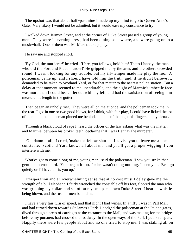The upshot was that about half−past nine I made up my mind to go to Queen Anne's Gate. Very likely I would not be admitted, but it would ease my conscience to try.

 I walked down Jermyn Street, and at the corner of Duke Street passed a group of young men. They were in evening dress, had been dining somewhere, and were going on to a music−hall. One of them was Mr Marmaduke jopley.

He saw me and stopped short.

 'By God, the murderer!' he cried. 'Here, you fellows, hold him! That's Hannay, the man who did the Portland Place murder!' He gripped me by the arm, and the others crowded round. I wasn't looking for any trouble, but my ill−temper made me play the fool. A policeman came up, and I should have told him the truth, and, if he didn't believe it, demanded to be taken to Scotland Yard, or for that matter to the nearest police station. But a delay at that moment seemed to me unendurable, and the sight of Marmie's imbecile face was more than I could bear. I let out with my left, and had the satisfaction of seeing him measure his length in the gutter.

 Then began an unholy row. They were all on me at once, and the policeman took me in the rear. I got in one or two good blows, for I think, with fair play, I could have licked the lot of them, but the policeman pinned me behind, and one of them got his fingers on my throat.

 Through a black cloud of rage I heard the officer of the law asking what was the matter, and Marmie, between his broken teeth, declaring that I was Hannay the murderer.

 'Oh, damn it all,' I cried, 'make the fellow shut up. I advise you to leave me alone, constable. Scotland Yard knows all about me, and you'll get a proper wigging if you interfere with me.'

 'You've got to come along of me, young man,' said the policeman. 'I saw you strike that gentleman crool 'ard. You began it too, for he wasn't doing nothing. I seen you. Best go quietly or I'll have to fix you up.'

 Exasperation and an overwhelming sense that at no cost must I delay gave me the strength of a bull elephant. I fairly wrenched the constable off his feet, floored the man who was gripping my collar, and set off at my best pace down Duke Street. I heard a whistle being blown, and the rush of men behind me.

 I have a very fair turn of speed, and that night I had wings. In a jiffy I was in Pall Mall and had turned down towards St James's Park. I dodged the policeman at the Palace gates, dived through a press of carriages at the entrance to the Mall, and was making for the bridge before my pursuers had crossed the roadway. In the open ways of the Park I put on a spurt. Happily there were few people about and no one tried to stop me. I was staking all on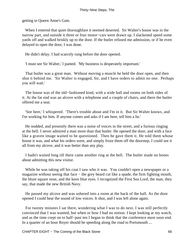getting to Queen Anne's Gate.

 When I entered that quiet thoroughfare it seemed deserted. Sir Walter's house was in the narrow part, and outside it three or four motor−cars were drawn up. I slackened speed some yards off and walked briskly up to the door. If the butler refused me admission, or if he even delayed to open the door, I was done.

He didn't delay. I had scarcely rung before the door opened.

'I must see Sir Walter,' I panted. 'My business is desperately important.'

 That butler was a great man. Without moving a muscle he held the door open, and then shut it behind me. 'Sir Walter is engaged, Sir, and I have orders to admit no one. Perhaps you will wait.'

 The house was of the old−fashioned kind, with a wide hall and rooms on both sides of it. At the far end was an alcove with a telephone and a couple of chairs, and there the butler offered me a seat.

 'See here,' I whispered. 'There's trouble about and I'm in it. But Sir Walter knows, and I'm working for him. If anyone comes and asks if I am here, tell him a lie.'

 He nodded, and presently there was a noise of voices in the street, and a furious ringing at the bell. I never admired a man more than that butler. He opened the door, and with a face like a graven image waited to be questioned. Then he gave them it. He told them whose house it was, and what his orders were, and simply froze them off the doorstep. I could see it all from my alcove, and it was better than any play.

 I hadn't waited long till there came another ring at the bell. The butler made no bones about admitting this new visitor.

While he was taking off his coat I saw who it was. You couldn't open a newspaper or a magazine without seeing that face – the grey beard cut like a spade, the firm fighting mouth, the blunt square nose, and the keen blue eyes. I recognized the First Sea Lord, the man, they say, that made the new British Navy.

 He passed my alcove and was ushered into a room at the back of the hall. As the door opened I could hear the sound of low voices. It shut, and I was left alone again.

 For twenty minutes I sat there, wondering what I was to do next. I was still perfectly convinced that I was wanted, but when or how I had no notion. I kept looking at my watch, and as the time crept on to half−past ten I began to think that the conference must soon end. In a quarter of an hour Royer should be speeding along the road to Portsmouth ...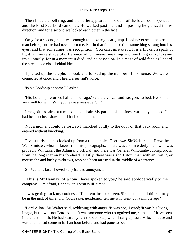Then I heard a bell ring, and the butler appeared. The door of the back room opened, and the First Sea Lord came out. He walked past me, and in passing he glanced in my direction, and for a second we looked each other in the face.

 Only for a second, but it was enough to make my heart jump. I had never seen the great man before, and he had never seen me. But in that fraction of time something sprang into his eyes, and that something was recognition. You can't mistake it. It is a flicker, a spark of light, a minute shade of difference which means one thing and one thing only. It came involuntarily, for in a moment it died, and he passed on. In a maze of wild fancies I heard the street door close behind him.

 I picked up the telephone book and looked up the number of his house. We were connected at once, and I heard a servant's voice.

'Is his Lordship at home?' I asked.

 'His Lordship returned half an hour ago,' said the voice, 'and has gone to bed. He is not very well tonight. Will you leave a message, Sir?'

 I rang off and almost tumbled into a chair. My part in this business was not yet ended. It had been a close shave, but I had been in time.

 Not a moment could be lost, so I marched boldly to the door of that back room and entered without knocking.

 Five surprised faces looked up from a round table. There was Sir Walter, and Drew the War Minister, whom I knew from his photographs. There was a slim elderly man, who was probably Whittaker, the Admiralty official, and there was General WinStanley, conspicuous from the long scar on his forehead. Lastly, there was a short stout man with an iron−grey moustache and bushy eyebrows, who had been arrested in the middle of a sentence.

Sir Walter's face showed surprise and annoyance.

 'This is Mr Hannay, of whom I have spoken to you,' he said apologetically to the company. 'I'm afraid, Hannay, this visit is ill−timed.'

 I was getting back my coolness. 'That remains to be seen, Sir,' I said; 'but I think it may be in the nick of time. For God's sake, gentlemen, tell me who went out a minute ago?'

 'Lord Alloa,' Sir Walter said, reddening with anger. 'It was not,' I cried; 'it was his living image, but it was not Lord Alloa. It was someone who recognized me, someone I have seen in the last month. He had scarcely left the doorstep when I rang up Lord Alloa's house and was told he had come in half an hour before and had gone to bed.'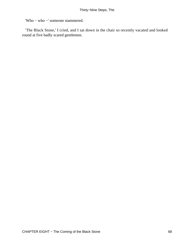'Who − who −' someone stammered.

 'The Black Stone,' I cried, and I sat down in the chair so recently vacated and looked round at five badly scared gentlemen.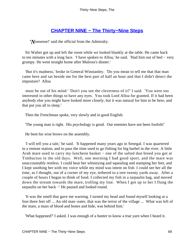## **[CHAPTER NINE − The Thirty−Nine Steps](#page-87-0)**

*'N*onsense!' said the official from the Admiralty.

 Sir Walter got up and left the room while we looked blankly at the table. He came back in ten minutes with a long face. 'I have spoken to Alloa,' he said. 'Had him out of bed − very grumpy. He went straight home after Mulross's dinner.'

 'But it's madness,' broke in General Winstanley. 'Do you mean to tell me that that man came here and sat beside me for the best part of half an hour and that I didn't detect the imposture? Alloa

 must be out of his mind.' 'Don't you see the cleverness of it?' I said. 'You were too interested in other things to have any eyes. You took Lord Alloa for granted. If it had been anybody else you might have looked more closely, but it was natural for him to be here, and that put you all to sleep.'

Then the Frenchman spoke, very slowly and in good English.

'The young man is right. His psychology is good. Our enemies have not been foolish!'

He bent his wise brows on the assembly.

 'I will tell you a tale,' he said. 'It happened many years ago in Senegal. I was quartered in a remote station, and to pass the time used to go fishing for big barbel in the river. A little Arab mare used to carry my luncheon basket – one of the salted dun breed you got at Timbuctoo in the old days. Well, one morning I had good sport, and the mare was unaccountably restless. I could hear her whinnying and squealing and stamping her feet, and I kept soothing her with my voice while my mind was intent on fish. I could see her all the time, as I thought, out of a corner of my eye, tethered to a tree twenty yards away. After a couple of hours I began to think of food. I collected my fish in a tarpaulin bag, and moved down the stream towards the mare, trolling my line. When I got up to her I flung the tarpaulin on her back −' He paused and looked round.

 'It was the smell that gave me warning. I turned my head and found myself looking at a lion three feet off ... An old man−eater, that was the terror of the village ... What was left of the mare, a mass of blood and bones and hide, was behind him.'

'What happened?' I asked. I was enough of a hunter to know a true yarn when I heard it.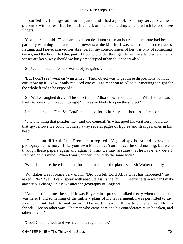'I stuffed my fishing−rod into his jaws, and I had a pistol. Also my servants came presently with rifles. But he left his mark on me.' He held up a hand which lacked three fingers.

 'Consider,' he said. 'The mare had been dead more than an hour, and the brute had been patiently watching me ever since. I never saw the kill, for I was accustomed to the mare's fretting, and I never marked her absence, for my consciousness of her was only of something tawny, and the lion filled that part. If I could blunder thus, gentlemen, in a land where men's senses are keen, why should we busy preoccupied urban folk not err also?'

Sir Walter nodded. No one was ready to gainsay him.

 'But I don't see,' went on Winstanley. 'Their object was to get these dispositions without our knowing it. Now it only required one of us to mention to Alloa our meeting tonight for the whole fraud to be exposed.'

 Sir Walter laughed dryly. 'The selection of Alloa shows their acumen. Which of us was likely to speak to him about tonight? Or was he likely to open the subject?'

I remembered the First Sea Lord's reputation for taciturnity and shortness of temper.

 'The one thing that puzzles me,' said the General, 'is what good his visit here would do that spy fellow? He could not carry away several pages of figures and strange names in his head.'

 'That is not difficult,' the Frenchman replied. 'A good spy is trained to have a photographic memory. Like your own Macaulay. You noticed he said nothing, but went through these papers again and again. I think we may assume that he has every detail stamped on his mind. When I was younger I could do the same trick.'

'Well, I suppose there is nothing for it but to change the plans,' said Sir Walter ruefully.

 Whittaker was looking very glum. 'Did you tell Lord Alloa what has happened?' he asked. 'No? Well, I can't speak with absolute assurance, but I'm nearly certain we can't make any serious change unless we alter the geography of England.'

 'Another thing must be said,' it was Royer who spoke. 'I talked freely when that man was here. I told something of the military plans of my Government. I was permitted to say so much. But that information would be worth many millions to our enemies. No, my friends, I see no other way. The man who came here and his confederates must be taken, and taken at once.'

'Good God,' I cried, 'and we have not a rag of a clue.'

CHAPTER NINE − The Thirty−Nine Steps 70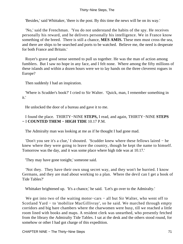'Besides,' said Whittaker, 'there is the post. By this time the news will be on its way.'

 'No,' said the Frenchman. 'You do not understand the habits of the spy. He receives personally his reward, and he delivers personally his intelligence. We in France know something of the breed. There is still a chance, **MES AMIS.** These men must cross the sea, and there are ships to be searched and ports to be watched. Believe me, the need is desperate for both France and Britain.'

 Royer's grave good sense seemed to pull us together. He was the man of action among fumblers. But I saw no hope in any face, and I felt none. Where among the fifty millions of these islands and within a dozen hours were we to lay hands on the three cleverest rogues in Europe?

Then suddenly I had an inspiration.

 'Where is Scudder's book?' I cried to Sir Walter. 'Quick, man, I remember something in it.'

He unlocked the door of a bureau and gave it to me.

 I found the place. THIRTY−NINE **STEPS,** I read, and again, THIRTY−NINE **STEPS −** I **COUNTED THEM − HIGH TIDE** 10.17 P.M.

The Admiralty man was looking at me as if he thought I had gone mad.

 'Don't you see it's a clue,' I shouted. 'Scudder knew where these fellows laired − he knew where they were going to leave the country, though he kept the name to himself. Tomorrow was the day, and it was some place where high tide was at 10.17.'

'They may have gone tonight,' someone said.

 'Not they. They have their own snug secret way, and they won't be hurried. I know Germans, and they are mad about working to a plan. Where the devil can I get a book of Tide Tables?'

Whittaker brightened up. 'It's a chance,' he said. 'Let's go over to the Admiralty.'

We got into two of the waiting motor−cars − all but Sir Walter, who went off to Scotland Yard − to 'mobilize MacGillivray', so he said. We marched through empty corridors and big bare chambers where the charwomen were busy, till we reached a little room lined with books and maps. A resident clerk was unearthed, who presently fetched from the library the Admiralty Tide Tables. I sat at the desk and the others stood round, for somehow or other I had got charge of this expedition.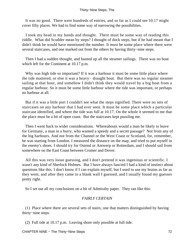It was no good. There were hundreds of entries, and so far as I could see 10.17 might cover fifty places. We had to find some way of narrowing the possibilities.

 I took my head in my hands and thought. There must be some way of reading this riddle. What did Scudder mean by steps? I thought of dock steps, but if he had meant that I didn't think he would have mentioned the number. It must be some place where there were several staircases, and one marked out from the others by having thirty−nine steps.

 Then I had a sudden thought, and hunted up all the steamer sailings. There was no boat which left for the Continent at 10.17 p.m.

Why was high tide so important? If it was a harbour it must be some little place where the tide mattered, or else it was a heavy− draught boat. But there was no regular steamer sailing at that hour, and somehow I didn't think they would travel by a big boat from a regular harbour. So it must be some little harbour where the tide was important, or perhaps no harbour at all.

 But if it was a little port I couldn't see what the steps signified. There were no sets of staircases on any harbour that I had ever seen. It must be some place which a particular staircase identified, and where the tide was full at 10.17. On the whole it seemed to me that the place must be a bit of open coast. But the staircases kept puzzling me.

 Then I went back to wider considerations. Whereabouts would a man be likely to leave for Germany, a man in a hurry, who wanted a speedy and a secret passage? Not from any of the big harbours. And not from the Channel or the West Coast or Scotland, for, remember, he was starting from London. I measured the distance on the map, and tried to put myself in the enemy's shoes. I should try for Ostend or Antwerp or Rotterdam, and I should sail from somewhere on the East Coast between Cromer and Dover.

 All this was very loose guessing, and I don't pretend it was ingenious or scientific. I wasn't any kind of Sherlock Holmes. But I have always fancied I had a kind of instinct about questions like this. I don't know if I can explain myself, but I used to use my brains as far as they went, and after they came to a blank wall I guessed, and I usually found my guesses pretty right.

So I set out all my conclusions on a bit of Admiralty paper. They ran like this:

### *FAIRLY CERTAIN*

 (1) Place where there are several sets of stairs; one that matters distinguished by having thirty−nine steps.

(2) Full tide at 10.17 p.m. Leaving shore only possible at full tide.

CHAPTER NINE – The Thirty–Nine Steps 72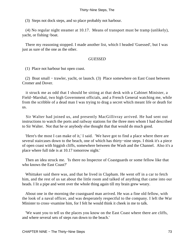(3) Steps not dock steps, and so place probably not harbour.

 (4) No regular night steamer at 10.17. Means of transport must be tramp (unlikely), yacht, or fishing−boat.

 There my reasoning stopped. I made another list, which I headed 'Guessed', but I was just as sure of the one as the other.

#### *GUESSED*

(1) Place not harbour but open coast.

 (2) Boat small − trawler, yacht, or launch. (3) Place somewhere on East Coast between Cromer and Dover.

 it struck me as odd that I should be sitting at that desk with a Cabinet Minister, a Field−Marshal, two high Government officials, and a French General watching me, while from the scribble of a dead man I was trying to drag a secret which meant life or death for us.

 Sir Walter had joined us, and presently MacGillivray arrived. He had sent out instructions to watch the ports and railway stations for the three men whom I had described to Sir Walter. Not that he or anybody else thought that that would do much good.

 'Here's the most I can make of it,' I said. 'We have got to find a place where there are several staircases down to the beach, one of which has thirty−nine steps. I think it's a piece of open coast with biggish cliffs, somewhere between the Wash and the Channel. Also it's a place where full tide is at 10.17 tomorrow night.'

 Then an idea struck me. 'Is there no Inspector of Coastguards or some fellow like that who knows the East Coast?'

 Whittaker said there was, and that he lived in Clapham. He went off in a car to fetch him, and the rest of us sat about the little room and talked of anything that came into our heads. I lit a pipe and went over the whole thing again till my brain grew weary.

 About one in the morning the coastguard man arrived. He was a fine old fellow, with the look of a naval officer, and was desperately respectful to the company. I left the War Minister to cross−examine him, for I felt he would think it cheek in me to talk.

 'We want you to tell us the places you know on the East Coast where there are cliffs, and where several sets of steps run down to the beach.'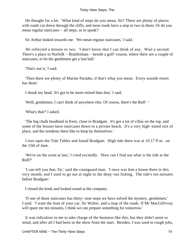He thought for a bit. 'What kind of steps do you mean, Sir? There are plenty of places with roads cut down through the cliffs, and most roads have a step or two in them. Or do you mean regular staircases – all steps, so to speak?'

Sir Arthur looked towards me. 'We mean regular staircases,' I said.

 He reflected a minute or two. 'I don't know that I can think of any. Wait a second. There's a place in Norfolk − Brattlesham − beside a golf−course, where there are a couple of staircases, to let the gentlemen get a lost ball.'

'That's not it,' I said.

 'Then there are plenty of Marine Parades, if that's what you mean. Every seaside resort has them.'

I shook my head. 'It's got to be more retired than that,' I said.

'Well, gentlemen, I can't think of anywhere else. Of course, there's the Ruff −'

'What's that?' I asked.

 'The big chalk headland in Kent, close to Bradgate. It's got a lot of villas on the top, and some of the houses have staircases down to a private beach. It's a very high−toned sort of place, and the residents there like to keep by themselves.'

 I tore open the Tide Tables and found Bradgate. High tide there was at 10.17 P.m. on the 15th of June.

 'We're on the scent at last,' I cried excitedly. 'How can I find out what is the tide at the Ruff?'

 'I can tell you that, Sir,' said the coastguard man. 'I once was lent a house there in this very month, and I used to go out at night to the deep−sea fishing. The tide's ten minutes before Bradgate.'

I closed the book and looked round at the company.

 'If one of those staircases has thirty−nine steps we have solved the mystery, gentlemen,' I said. 'I want the loan of your car, Sir Walter, and a map of the roads. If Mr MacGillivray will spare me ten minutes, I think we can prepare something for tomorrow.'

 It was ridiculous in me to take charge of the business like this, but they didn't seem to mind, and after all I had been in the show from the start. Besides, I was used to rough jobs,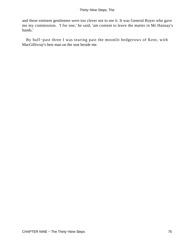and these eminent gentlemen were too clever not to see it. It was General Royer who gave me my commission. 'I for one,' he said, 'am content to leave the matter in Mr Hannay's hands.'

 By half−past three I was tearing past the moonlit hedgerows of Kent, with MacGillivray's best man on the seat beside me.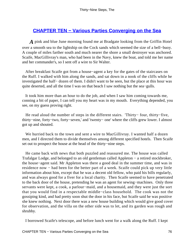### <span id="page-76-0"></span>**[CHAPTER TEN − Various Parties Converging on the Sea](#page-87-0)**

*A* pink and blue June morning found me at Bradgate looking from the Griffin Hotel over a smooth sea to the lightship on the Cock sands which seemed the size of a bell−buoy. A couple of miles farther south and much nearer the shore a small destroyer was anchored. Scaife, MacGillivray's man, who had been in the Navy, knew the boat, and told me her name and her commander's, so I sent off a wire to Sir Walter.

 After breakfast Scaife got from a house−agent a key for the gates of the staircases on the Ruff. I walked with him along the sands, and sat down in a nook of the cliffs while he investigated the half− dozen of them. I didn't want to be seen, but the place at this hour was quite deserted, and all the time I was on that beach I saw nothing but the sea−gulls.

 It took him more than an hour to do the job, and when I saw him coming towards me, conning a bit of paper, I can tell you my heart was in my mouth. Everything depended, you see, on my guess proving right.

He read aloud the number of steps in the different stairs. 'Thirty– four, thirty–five, thirty−nine, forty−two, forty−seven,' and 'twenty− one' where the cliffs grew lower. I almost got up and shouted.

 We hurried back to the town and sent a wire to MacGillivray. I wanted half a dozen men, and I directed them to divide themselves among different specified hotels. Then Scaife set out to prospect the house at the head of the thirty−nine steps.

 He came back with news that both puzzled and reassured me. The house was called Trafalgar Lodge, and belonged to an old gentleman called Appleton − a retired stockbroker, the house−agent said. Mr Appleton was there a good deal in the summer time, and was in residence now − had been for the better part of a week. Scaife could pick up very little information about him, except that he was a decent old fellow, who paid his bills regularly, and was always good for a fiver for a local charity. Then Scaife seemed to have penetrated to the back door of the house, pretending he was an agent for sewing−machines. Only three servants were kept, a cook, a parlour–maid, and a housemaid, and they were just the sort that you would find in a respectable middle−class household. The cook was not the gossiping kind, and had pretty soon shut the door in his face, but Scaife said he was positive she knew nothing. Next door there was a new house building which would give good cover for observation, and the villa on the other side was to let, and its garden was rough and shrubby.

I borrowed Scaife's telescope, and before lunch went for a walk along the Ruff. I kept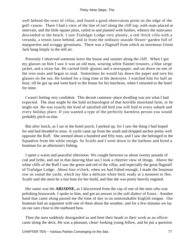well behind the rows of villas, and found a good observation point on the edge of the golf−course. There I had a view of the line of turf along the cliff top, with seats placed at intervals, and the little square plots, railed in and planted with bushes, whence the staircases descended to the beach. I saw Trafalgar Lodge very plainly, a red−brick villa with a veranda, a tennis lawn behind, and in front the ordinary seaside flower−garden full of marguerites and scraggy geraniums. There was a flagstaff from which an enormous Union Jack hung limply in the still air.

 Presently I observed someone leave the house and saunter along the cliff. When I got my glasses on him I saw it was an old man, wearing white flannel trousers, a blue serge jacket, and a straw hat. He carried field−glasses and a newspaper, and sat down on one of the iron seats and began to read. Sometimes he would lay down the paper and turn his glasses on the sea. He looked for a long time at the destroyer. I watched him for half an hour, till he got up and went back to the house for his luncheon, when I returned to the hotel for mine.

 I wasn't feeling very confident. This decent common−place dwelling was not what I had expected. The man might be the bald archaeologist of that horrible moorland farm, or he might not. He was exactly the kind of satisfied old bird you will find in every suburb and every holiday place. If you wanted a type of the perfectly harmless person you would probably pitch on that.

 But after lunch, as I sat in the hotel porch, I perked up, for I saw the thing I had hoped for and had dreaded to miss. A yacht came up from the south and dropped anchor pretty well opposite the Ruff. She seemed about a hundred and fifty tons, and I saw she belonged to the Squadron from the white ensign. So Scaife and I went down to the harbour and hired a boatman for an afternoon's fishing.

 I spent a warm and peaceful afternoon. We caught between us about twenty pounds of cod and lythe, and out in that dancing blue sea I took a cheerier view of things. Above the white cliffs of the Ruff I saw the green and red of the villas, and especially the great flagstaff of Trafalgar Lodge. About four o'clock, when we had fished enough, I made the boatman row us round the yacht, which lay like a delicate white bird, ready at a moment to flee. Scaife said she must be a fast boat for her build, and that she was pretty heavily engined.

 Her name was the **ARIADNE,** as I discovered from the cap of one of the men who was polishing brasswork. I spoke to him, and got an answer in the soft dialect of Essex. Another hand that came along passed me the time of day in an unmistakable English tongue. Our boatman had an argument with one of them about the weather, and for a few minutes we lay on our oars close to the starboard bow.

 Then the men suddenly disregarded us and bent their heads to their work as an officer came along the deck. He was a pleasant, clean−looking young fellow, and he put a question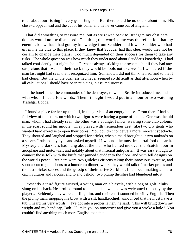to us about our fishing in very good English. But there could be no doubt about him. His close−cropped head and the cut of his collar and tie never came out of England.

 That did something to reassure me, but as we rowed back to Bradgate my obstinate doubts would not be dismissed. The thing that worried me was the reflection that my enemies knew that I had got my knowledge from Scudder, and it was Scudder who had given me the clue to this place. If they knew that Scudder had this clue, would they not be certain to change their plans? Too much depended on their success for them to take any risks. The whole question was how much they understood about Scudder's knowledge. I had talked confidently last night about Germans always sticking to a scheme, but if they had any suspicions that I was on their track they would be fools not to cover it. I wondered if the man last night had seen that I recognized him. Somehow I did not think he had, and to that I had clung. But the whole business had never seemed so difficult as that afternoon when by all calculations I should have been rejoicing in assured success.

 In the hotel I met the commander of the destroyer, to whom Scaife introduced me, and with whom I had a few words. Then I thought I would put in an hour or two watching Trafalgar Lodge.

 I found a place farther up the hill, in the garden of an empty house. From there I had a full view of the court, on which two figures were having a game of tennis. One was the old man, whom I had already seen; the other was a younger fellow, wearing some club colours in the scarf round his middle. They played with tremendous zest, like two city gents who wanted hard exercise to open their pores. You couldn't conceive a more innocent spectacle. They shouted and laughed and stopped for drinks, when a maid brought out two tankards on a salver. I rubbed my eyes and asked myself if I was not the most immortal fool on earth. Mystery and darkness had hung about the men who hunted me over the Scotch moor in aeroplane and motor−car, and notably about that infernal antiquarian. It was easy enough to connect those folk with the knife that pinned Scudder to the floor, and with fell designs on the world's peace. But here were two guileless citizens taking their innocuous exercise, and soon about to go indoors to a humdrum dinner, where they would talk of market prices and the last cricket scores and the gossip of their native Surbiton. I had been making a net to catch vultures and falcons, and lo and behold! two plump thrushes had blundered into it.

 Presently a third figure arrived, a young man on a bicycle, with a bag of golf−clubs slung on his back. He strolled round to the tennis lawn and was welcomed riotously by the players. Evidently they were chaffing him, and their chaff sounded horribly English. Then the plump man, mopping his brow with a silk handkerchief, announced that he must have a tub. I heard his very words − 'I've got into a proper lather,' he said. 'This will bring down my weight and my handicap, Bob. I'll take you on tomorrow and give you a stroke a hole.' You couldn't find anything much more English than that.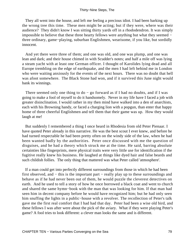They all went into the house, and left me feeling a precious idiot. I had been barking up the wrong tree this time. These men might be acting; but if they were, where was their audience? They didn't know I was sitting thirty yards off in a rhododendron. It was simply impossible to believe that these three hearty fellows were anything but what they seemed − three ordinary, game−playing, suburban Englishmen, wearisome, if you like, but sordidly innocent.

 And yet there were three of them; and one was old, and one was plump, and one was lean and dark; and their house chimed in with Scudder's notes; and half a mile off was lying a steam yacht with at least one German officer. I thought of Karolides lying dead and all Europe trembling on the edge of earthquake, and the men I had left behind me in London who were waiting anxiously for the events of the next hours. There was no doubt that hell was afoot somewhere. The Black Stone had won, and if it survived this June night would bank its winnings.

There seemed only one thing to do – go forward as if I had no doubts, and if I was going to make a fool of myself to do it handsomely. Never in my life have I faced a job with greater disinclination. I would rather in my then mind have walked into a den of anarchists, each with his Browning handy, or faced a charging lion with a popgun, than enter that happy home of three cheerful Englishmen and tell them that their game was up. How they would laugh at me!

 But suddenly I remembered a thing I once heard in Rhodesia from old Peter Pienaar. I have quoted Peter already in this narrative. He was the best scout I ever knew, and before he had turned respectable he had been pretty often on the windy side of the law, when he had been wanted badly by the authorities. Peter once discussed with me the question of disguises, and he had a theory which struck me at the time. He said, barring absolute certainties like fingerprints, mere physical traits were very little use for identification if the fugitive really knew his business. He laughed at things like dyed hair and false beards and such childish follies. The only thing that mattered was what Peter called 'atmosphere'.

 If a man could get into perfectly different surroundings from those in which he had been first observed, and − this is the important part − really play up to these surroundings and behave as if he had never been out of them, he would puzzle the cleverest detectives on earth. And he used to tell a story of how he once borrowed a black coat and went to church and shared the same hymn−book with the man that was looking for him. If that man had seen him in decent company before he would have recognized him; but he had only seen him snuffing the lights in a public−house with a revolver. The recollection of Peter's talk gave me the first real comfort that I had had that day. Peter had been a wise old bird, and these fellows I was after were about the pick of the aviary. What if they were playing Peter's game? A fool tries to look different: a clever man looks the same and is different.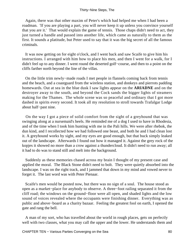Again, there was that other maxim of Peter's which had helped me when I had been a roadman. 'If you are playing a part, you will never keep it up unless you convince yourself that you are it.' That would explain the game of tennis. Those chaps didn't need to act, they just turned a handle and passed into another life, which came as naturally to them as the first. It sounds a platitude, but Peter used to say that it was the big secret of all the famous criminals.

 It was now getting on for eight o'clock, and I went back and saw Scaife to give him his instructions. I arranged with him how to place his men, and then I went for a walk, for I didn't feel up to any dinner. I went round the deserted golf−course, and then to a point on the cliffs farther north beyond the line of the villas.

 On the little trim newly−made roads I met people in flannels coming back from tennis and the beach, and a coastguard from the wireless station, and donkeys and pierrots padding homewards. Out at sea in the blue dusk I saw lights appear on the **ARIADNE** and on the destroyer away to the south, and beyond the Cock sands the bigger lights of steamers making for the Thames. The whole scene was so peaceful and ordinary that I got more dashed in spirits every second. It took all my resolution to stroll towards Trafalgar Lodge about half−past nine.

 On the way I got a piece of solid comfort from the sight of a greyhound that was swinging along at a nursemaid's heels. He reminded me of a dog I used to have in Rhodesia, and of the time when I took him hunting with me in the Pali hills. We were after rhebok, the dun kind, and I recollected how we had followed one beast, and both he and I had clean lost it. A greyhound works by sight, and my eyes are good enough, but that buck simply leaked out of the landscape. Afterwards I found out how it managed it. Against the grey rock of the kopjes it showed no more than a crow against a thundercloud. It didn't need to run away; all it had to do was to stand still and melt into the background.

 Suddenly as these memories chased across my brain I thought of my present case and applied the moral. The Black Stone didn't need to bolt. They were quietly absorbed into the landscape. I was on the right track, and I jammed that down in my mind and vowed never to forget it. The last word was with Peter Pienaar.

 Scaife's men would be posted now, but there was no sign of a soul. The house stood as open as a market−place for anybody to observe. A three−foot railing separated it from the cliff road; the windows on the ground−floor were all open, and shaded lights and the low sound of voices revealed where the occupants were finishing dinner. Everything was as public and above−board as a charity bazaar. Feeling the greatest fool on earth, I opened the gate and rang the bell.

 A man of my sort, who has travelled about the world in rough places, gets on perfectly well with two classes, what you may call the upper and the lower. He understands them and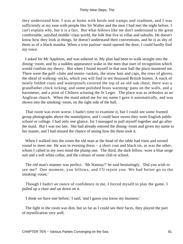they understand him. I was at home with herds and tramps and roadmen, and I was sufficiently at my ease with people like Sir Walter and the men I had met the night before. I can't explain why, but it is a fact. But what fellows like me don't understand is the great comfortable, satisfied middle−class world, the folk that live in villas and suburbs. He doesn't know how they look at things, he doesn't understand their conventions, and he is as shy of them as of a black mamba. When a trim parlour−maid opened the door, I could hardly find my voice.

 I asked for Mr Appleton, and was ushered in. My plan had been to walk straight into the dining−room, and by a sudden appearance wake in the men that start of recognition which would confirm my theory. But when I found myself in that neat hall the place mastered me. There were the golf–clubs and tennis–rackets, the straw hats and caps, the rows of gloves, the sheaf of walking−sticks, which you will find in ten thousand British homes. A stack of neatly folded coats and waterproofs covered the top of an old oak chest; there was a grandfather clock ticking; and some polished brass warming−pans on the walls, and a barometer, and a print of Chiltern winning the St Leger. The place was as orthodox as an Anglican church. When the maid asked me for my name I gave it automatically, and was shown into the smoking−room, on the right side of the hall.

 That room was even worse. I hadn't time to examine it, but I could see some framed group photographs above the mantelpiece, and I could have sworn they were English public school or college. I had only one glance, for I managed to pull myself together and go after the maid. But I was too late. She had already entered the dining−room and given my name to her master, and I had missed the chance of seeing how the three took it.

 When I walked into the room the old man at the head of the table had risen and turned round to meet me. He was in evening dress − a short coat and black tie, as was the other, whom I called in my own mind the plump one. The third, the dark fellow, wore a blue serge suit and a soft white collar, and the colours of some club or school.

 The old man's manner was perfect. 'Mr Hannay?' he said hesitatingly. 'Did you wish to see me? One moment, you fellows, and I'll rejoin you. We had better go to the smoking−room.'

 Though I hadn't an ounce of confidence in me, I forced myself to play the game. I pulled up a chair and sat down on it.

'I think we have met before,' I said, 'and I guess you know my business.'

 The light in the room was dim, but so far as I could see their faces, they played the part of mystification very well.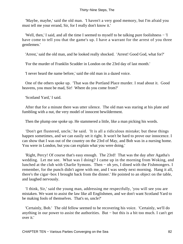'Maybe, maybe,' said the old man. 'I haven't a very good memory, but I'm afraid you must tell me your errand, Sir, for I really don't know it.'

 'Well, then,' I said, and all the time I seemed to myself to be talking pure foolishness − 'I have come to tell you that the game's up. I have a warrant for the arrest of you three gentlemen.'

'Arrest,' said the old man, and he looked really shocked. 'Arrest! Good God, what for?'

'For the murder of Franklin Scudder in London on the 23rd day of last month.'

'I never heard the name before,' said the old man in a dazed voice.

 One of the others spoke up. 'That was the Portland Place murder. I read about it. Good heavens, you must be mad, Sir! Where do you come from?'

'Scotland Yard,' I said.

 After that for a minute there was utter silence. The old man was staring at his plate and fumbling with a nut, the very model of innocent bewilderment.

Then the plump one spoke up. He stammered a little, like a man picking his words.

 'Don't get flustered, uncle,' he said. 'It is all a ridiculous mistake; but these things happen sometimes, and we can easily set it right. It won't be hard to prove our innocence. I can show that I was out of the country on the 23rd of May, and Bob was in a nursing home. You were in London, but you can explain what you were doing.'

 'Right, Percy! Of course that's easy enough. The 23rd! That was the day after Agatha's wedding. Let me see. What was I doing? I came up in the morning from Woking, and lunched at the club with Charlie Symons. Then − oh yes, I dined with the Fishmongers. I remember, for the punch didn't agree with me, and I was seedy next morning. Hang it all, there's the cigar−box I brought back from the dinner.' He pointed to an object on the table, and laughed nervously.

 'I think, Sir,' said the young man, addressing me respectfully, 'you will see you are mistaken. We want to assist the law like all Englishmen, and we don't want Scotland Yard to be making fools of themselves. That's so, uncle?'

 'Certainly, Bob.' The old fellow seemed to be recovering his voice. 'Certainly, we'll do anything in our power to assist the authorities. But − but this is a bit too much. I can't get over it.'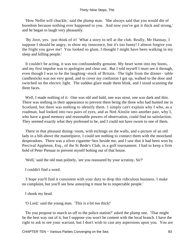'How Nellie will chuckle,' said the plump man. 'She always said that you would die of boredom because nothing ever happened to you. And now you've got it thick and strong,' and he began to laugh very pleasantly.

 'By Jove, yes. just think of it! What a story to tell at the club. Really, Mr Hannay, I suppose I should be angry, to show my innocence, but it's too funny! I almost forgive you the fright you gave me! You looked so glum, I thought I might have been walking in my sleep and killing people.'

 It couldn't be acting, it was too confoundedly genuine. My heart went into my boots, and my first impulse was to apologize and clear out. But I told myself I must see it through, even though I was to be the laughing−stock of Britain. The light from the dinner− table candlesticks was not very good, and to cover my confusion I got up, walked to the door and switched on the electric light. The sudden glare made them blink, and I stood scanning the three faces.

 Well, I made nothing of it. One was old and bald, one was stout, one was dark and thin. There was nothing in their appearance to prevent them being the three who had hunted me in Scotland, but there was nothing to identify them. 1 simply can't explain why I who, as a roadman, had looked into two pairs of eyes, and as Ned Ainslie into another pair, why I, who have a good memory and reasonable powers of observation, could find no satisfaction. They seemed exactly what they professed to be, and I could not have sworn to one of them.

There in that pleasant dining–room, with etchings on the walls, and a picture of an old lady in a bib above the mantelpiece, I could see nothing to connect them with the moorland desperadoes. There was a silver cigarette−box beside me, and I saw that it had been won by Percival Appleton, Esq., of the St Bede's Club, in a golf tournament. I had to keep a firm hold of Peter Pienaar to prevent myself bolting out of that house.

'Well,' said the old man politely, 'are you reassured by your scrutiny, Sir?'

I couldn't find a word.

 'I hope you'll find it consistent with your duty to drop this ridiculous business. I make no complaint, but you'll see how annoying it must be to respectable people.'

I shook my head.

'O Lord,' said the young man. 'This is a bit too thick!'

 'Do you propose to march us off to the police station?' asked the plump one. 'That might be the best way out of it, but I suppose you won't be content with the local branch. I have the right to ask to see your warrant, but I don't wish to cast any aspersions upon you. You are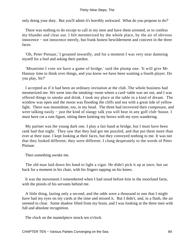only doing your duty. But you'll admit it's horribly awkward. What do you propose to do?'

 There was nothing to do except to call in my men and have them arrested, or to confess my blunder and clear out. I felt mesmerized by the whole place, by the air of obvious innocence − not innocence merely, but frank honest bewilderment and concern in the three faces.

 'Oh, Peter Pienaar,' I groaned inwardly, and for a moment I was very near damning myself for a fool and asking their pardon.

 'Meantime I vote we have a game of bridge,' said the plump one. 'It will give Mr Hannay time to think over things, and you know we have been wanting a fourth player. Do you play, Sir?'

 I accepted as if it had been an ordinary invitation at the club. The whole business had mesmerized me. We went into the smoking−room where a card−table was set out, and I was offered things to smoke and drink. I took my place at the table in a kind of dream. The window was open and the moon was flooding the cliffs and sea with a great tide of yellow light. There was moonshine, too, in my head. The three had recovered their composure, and were talking easily − just the kind of slangy talk you will hear in any golf club−house. I must have cut a rum figure, sitting there knitting my brows with my eyes wandering.

 My partner was the young dark one. I play a fair hand at bridge, but I must have been rank bad that night. They saw that they had got me puzzled, and that put them more than ever at their ease. I kept looking at their faces, but they conveyed nothing to me. It was not that they looked different; they were different. I clung desperately to the words of Peter Pienaar.

Then something awoke me.

 The old man laid down his hand to light a cigar. He didn't pick it up at once, but sat back for a moment in his chair, with his fingers tapping on his knees.

 It was the movement I remembered when I had stood before him in the moorland farm, with the pistols of his servants behind me.

 A little thing, lasting only a second, and the odds were a thousand to one that I might have had my eyes on my cards at the time and missed it. But I didn't, and, in a flash, the air seemed to clear. Some shadow lifted from my brain, and I was looking at the three men with full and absolute recognition.

The clock on the mantelpiece struck ten o'clock.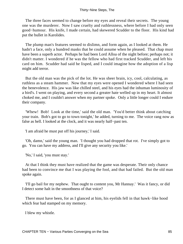The three faces seemed to change before my eyes and reveal their secrets. The young one was the murderer. Now I saw cruelty and ruthlessness, where before I had only seen good−humour. His knife, I made certain, had skewered Scudder to the floor. His kind had put the bullet in Karolides.

 The plump man's features seemed to dislimn, and form again, as I looked at them. He hadn't a face, only a hundred masks that he could assume when he pleased. That chap must have been a superb actor. Perhaps he had been Lord Alloa of the night before; perhaps not; it didn't matter. I wondered if he was the fellow who had first tracked Scudder, and left his card on him. Scudder had said he lisped, and I could imagine how the adoption of a lisp might add terror.

 But the old man was the pick of the lot. He was sheer brain, icy, cool, calculating, as ruthless as a steam hammer. Now that my eyes were opened I wondered where I had seen the benevolence. His jaw was like chilled steel, and his eyes had the inhuman luminosity of a bird's. I went on playing, and every second a greater hate welled up in my heart. It almost choked me, and I couldn't answer when my partner spoke. Only a little longer could I endure their company.

 'Whew! Bob! Look at the time,' said the old man. 'You'd better think about catching your train. Bob's got to go to town tonight,' he added, turning to me. The voice rang now as false as hell. I looked at the clock, and it was nearly half−past ten.

'I am afraid he must put off his journey,' I said.

 'Oh, damn,' said the young man. 'I thought you had dropped that rot. I've simply got to go. You can have my address, and I'll give any security you like.'

'No,' I said, 'you must stay.'

 At that I think they must have realized that the game was desperate. Their only chance had been to convince me that I was playing the fool, and that had failed. But the old man spoke again.

 'I'll go bail for my nephew. That ought to content you, Mr Hannay.' Was it fancy, or did I detect some halt in the smoothness of that voice?

 There must have been, for as I glanced at him, his eyelids fell in that hawk−like hood which fear had stamped on my memory.

I blew my whistle.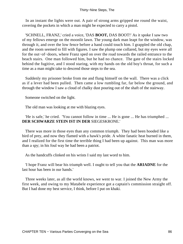In an instant the lights were out. A pair of strong arms gripped me round the waist, covering the pockets in which a man might be expected to carry a pistol.

 'SCHNELL, FRANZ,' cried a voice, 'DAS **BOOT,** DAS BOOT!' As it spoke I saw two of my fellows emerge on the moonlit lawn. The young dark man leapt for the window, was through it, and over the low fence before a hand could touch him. I grappled the old chap, and the room seemed to fill with figures. I saw the plump one collared, but my eyes were all for the out−of−doors, where Franz sped on over the road towards the railed entrance to the beach stairs. One man followed him, but he had no chance. The gate of the stairs locked behind the fugitive, and I stood staring, with my hands on the old boy's throat, for such a time as a man might take to descend those steps to the sea.

 Suddenly my prisoner broke from me and flung himself on the wall. There was a click as if a lever had been pulled. Then came a low rumbling far, far below the ground, and through the window I saw a cloud of chalky dust pouring out of the shaft of the stairway.

Someone switched on the light.

The old man was looking at me with blazing eyes.

 'He is safe,' he cried. 'You cannot follow in time ... He is gone ... He has triumphed ... **DER SCHWARZE STEIN IST IN DER** SIEGESKRONE.'

 There was more in those eyes than any common triumph. They had been hooded like a bird of prey, and now they flamed with a hawk's pride. A white fanatic heat burned in them, and I realized for the first time the terrible thing I had been up against. This man was more than a spy; in his foul way he had been a patriot.

As the handcuffs clinked on his wrists I said my last word to him.

 'I hope Franz will bear his triumph well. I ought to tell you that the **ARIADNE** for the last hour has been in our hands.'

 Three weeks later, as all the world knows, we went to war. I joined the New Army the first week, and owing to my Matabele experience got a captain's commission straight off. But I had done my best service, I think, before I put on khaki.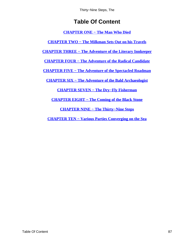# **Table Of Content**

**[CHAPTER ONE − The Man Who Died](#page-3-0)**

<span id="page-87-0"></span>**[CHAPTER TWO − The Milkman Sets Out on his Travels](#page-12-0)**

**[CHAPTER THREE − The Adventure of the Literary Innkeeper](#page-17-0)**

**[CHAPTER FOUR − The Adventure of the Radical Candidate](#page-26-0)**

**[CHAPTER FIVE − The Adventure of the Spectacled Roadman](#page-34-0)**

**[CHAPTER SIX − The Adventure of the Bald Archaeologist](#page-41-0)**

**[CHAPTER SEVEN − The Dry−Fly Fisherman](#page-53-0)**

**[CHAPTER EIGHT − The Coming of the Black Stone](#page-62-0)**

**[CHAPTER NINE − The Thirty−Nine Steps](#page-69-0)**

**[CHAPTER TEN − Various Parties Converging on the Sea](#page-76-0)**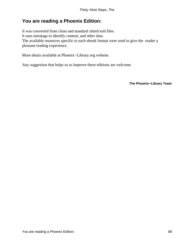## **You are reading a Phoenix Edition:**

It was converted from clean and standard xhtml/xml files. It uses metatags to identify content, and other data. The available resources specific to each ebook format were used to give the reader a pleasant reading experience.

More detais available at Phoenix−Library.org website.

Any suggestion that helps us to improve these editions are welcome.

**The Phoenix−Library Team**